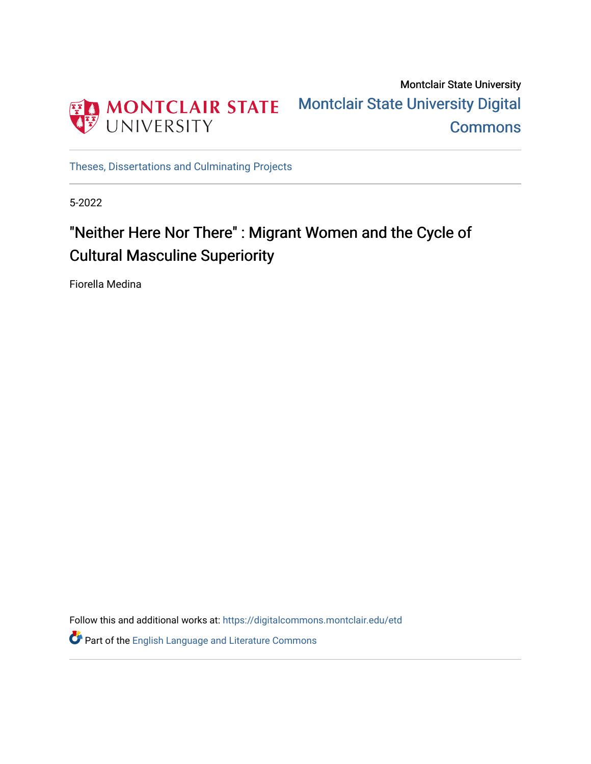

Montclair State University [Montclair State University Digital](https://digitalcommons.montclair.edu/)  **Commons** 

[Theses, Dissertations and Culminating Projects](https://digitalcommons.montclair.edu/etd) 

5-2022

# "Neither Here Nor There" : Migrant Women and the Cycle of Cultural Masculine Superiority

Fiorella Medina

Follow this and additional works at: [https://digitalcommons.montclair.edu/etd](https://digitalcommons.montclair.edu/etd?utm_source=digitalcommons.montclair.edu%2Fetd%2F1029&utm_medium=PDF&utm_campaign=PDFCoverPages) 

**P** Part of the [English Language and Literature Commons](https://network.bepress.com/hgg/discipline/455?utm_source=digitalcommons.montclair.edu%2Fetd%2F1029&utm_medium=PDF&utm_campaign=PDFCoverPages)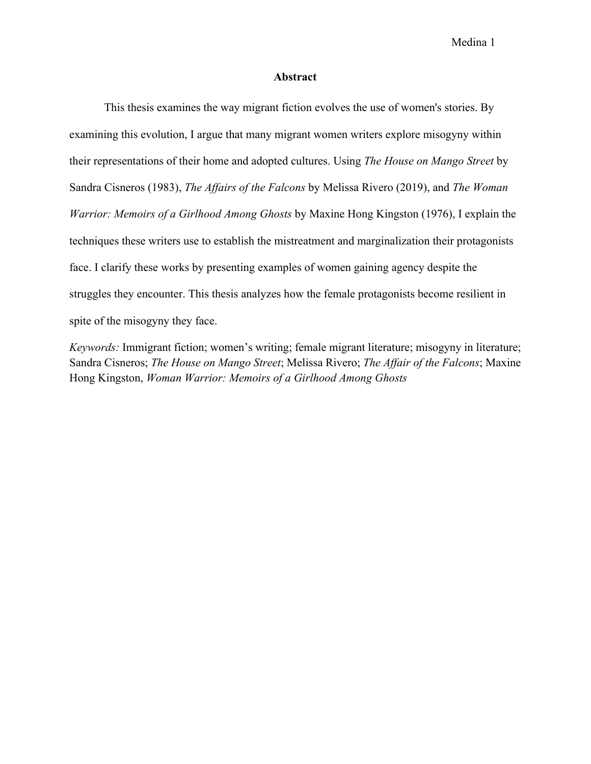#### **Abstract**

This thesis examines the way migrant fiction evolves the use of women's stories. By examining this evolution, I argue that many migrant women writers explore misogyny within their representations of their home and adopted cultures. Using *The House on Mango Street* by Sandra Cisneros (1983), *The Affairs of the Falcons* by Melissa Rivero (2019), and *The Woman Warrior: Memoirs of a Girlhood Among Ghosts* by Maxine Hong Kingston (1976), I explain the techniques these writers use to establish the mistreatment and marginalization their protagonists face. I clarify these works by presenting examples of women gaining agency despite the struggles they encounter. This thesis analyzes how the female protagonists become resilient in spite of the misogyny they face.

*Keywords:* Immigrant fiction; women's writing; female migrant literature; misogyny in literature; Sandra Cisneros; *The House on Mango Street*; Melissa Rivero; *The Affair of the Falcons*; Maxine Hong Kingston, *Woman Warrior: Memoirs of a Girlhood Among Ghosts*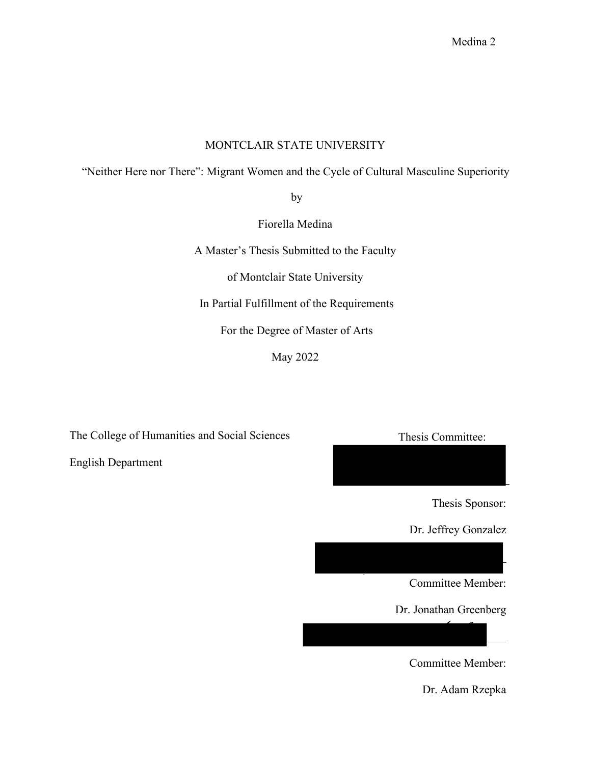## MONTCLAIR STATE UNIVERSITY

"Neither Here nor There": Migrant Women and the Cycle of Cultural Masculine Superiority

by

Fiorella Medina

A Master's Thesis Submitted to the Faculty

of Montclair State University

In Partial Fulfillment of the Requirements

For the Degree of Master of Arts

May 2022

The College of Humanities and Social Sciences Thesis Committee:

English Department

Thesis Sponsor:

 $\mathsf{L}$ 

 $\overline{\phantom{a}}$ 

 $\mathcal{L}_{\mathcal{L}}$ 

Dr. Jeffrey Gonzalez

Committee Member:

Dr. Jonathan Greenberg

Committee Member:

Dr. Adam Rzepka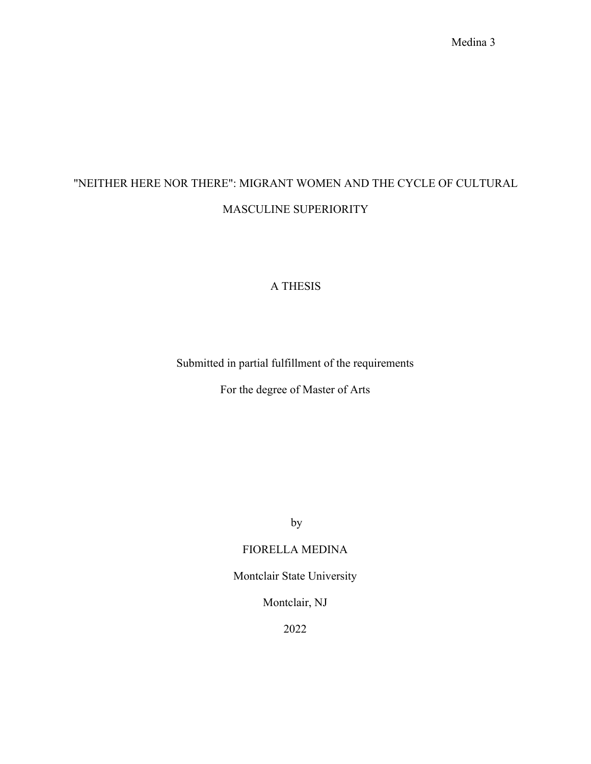# "NEITHER HERE NOR THERE": MIGRANT WOMEN AND THE CYCLE OF CULTURAL MASCULINE SUPERIORITY

### A THESIS

Submitted in partial fulfillment of the requirements

For the degree of Master of Arts

by

### FIORELLA MEDINA

Montclair State University

Montclair, NJ

2022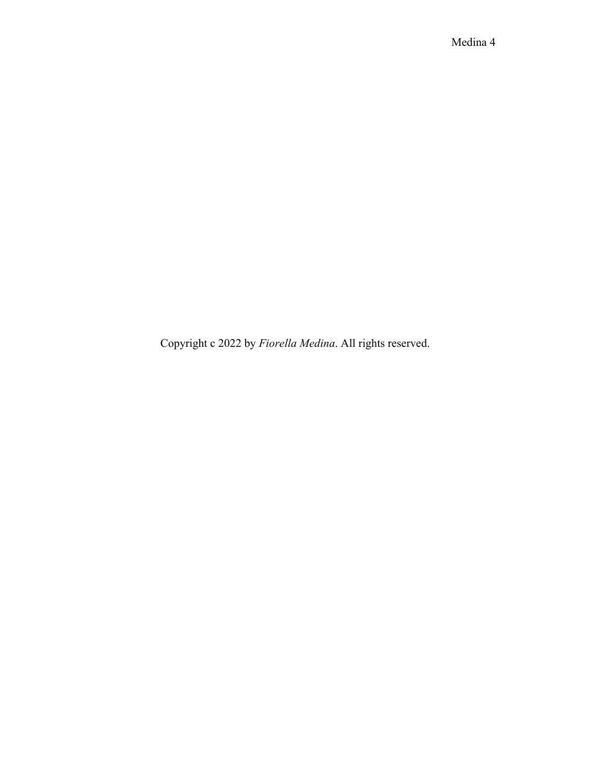Copyright c 2022 by *Fiorella Medina*. All rights reserved.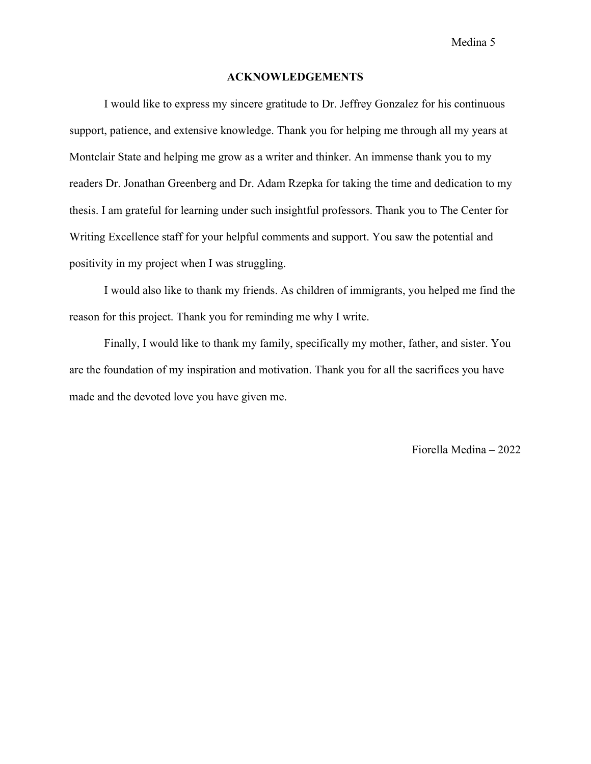#### **ACKNOWLEDGEMENTS**

I would like to express my sincere gratitude to Dr. Jeffrey Gonzalez for his continuous support, patience, and extensive knowledge. Thank you for helping me through all my years at Montclair State and helping me grow as a writer and thinker. An immense thank you to my readers Dr. Jonathan Greenberg and Dr. Adam Rzepka for taking the time and dedication to my thesis. I am grateful for learning under such insightful professors. Thank you to The Center for Writing Excellence staff for your helpful comments and support. You saw the potential and positivity in my project when I was struggling.

I would also like to thank my friends. As children of immigrants, you helped me find the reason for this project. Thank you for reminding me why I write.

Finally, I would like to thank my family, specifically my mother, father, and sister. You are the foundation of my inspiration and motivation. Thank you for all the sacrifices you have made and the devoted love you have given me.

Fiorella Medina – 2022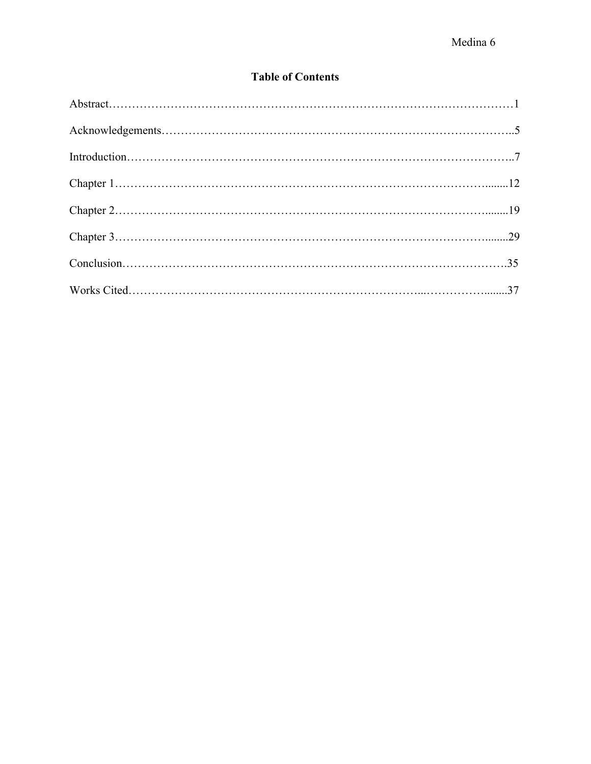# **Table of Contents**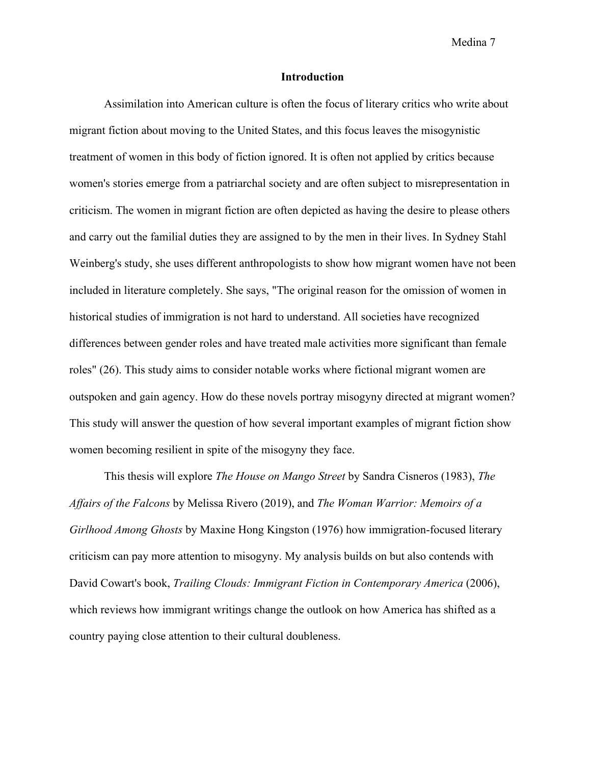#### **Introduction**

Assimilation into American culture is often the focus of literary critics who write about migrant fiction about moving to the United States, and this focus leaves the misogynistic treatment of women in this body of fiction ignored. It is often not applied by critics because women's stories emerge from a patriarchal society and are often subject to misrepresentation in criticism. The women in migrant fiction are often depicted as having the desire to please others and carry out the familial duties they are assigned to by the men in their lives. In Sydney Stahl Weinberg's study, she uses different anthropologists to show how migrant women have not been included in literature completely. She says, "The original reason for the omission of women in historical studies of immigration is not hard to understand. All societies have recognized differences between gender roles and have treated male activities more significant than female roles" (26). This study aims to consider notable works where fictional migrant women are outspoken and gain agency. How do these novels portray misogyny directed at migrant women? This study will answer the question of how several important examples of migrant fiction show women becoming resilient in spite of the misogyny they face.

This thesis will explore *The House on Mango Street* by Sandra Cisneros (1983), *The Affairs of the Falcons* by Melissa Rivero (2019), and *The Woman Warrior: Memoirs of a Girlhood Among Ghosts* by Maxine Hong Kingston (1976) how immigration-focused literary criticism can pay more attention to misogyny. My analysis builds on but also contends with David Cowart's book, *Trailing Clouds: Immigrant Fiction in Contemporary America* (2006), which reviews how immigrant writings change the outlook on how America has shifted as a country paying close attention to their cultural doubleness.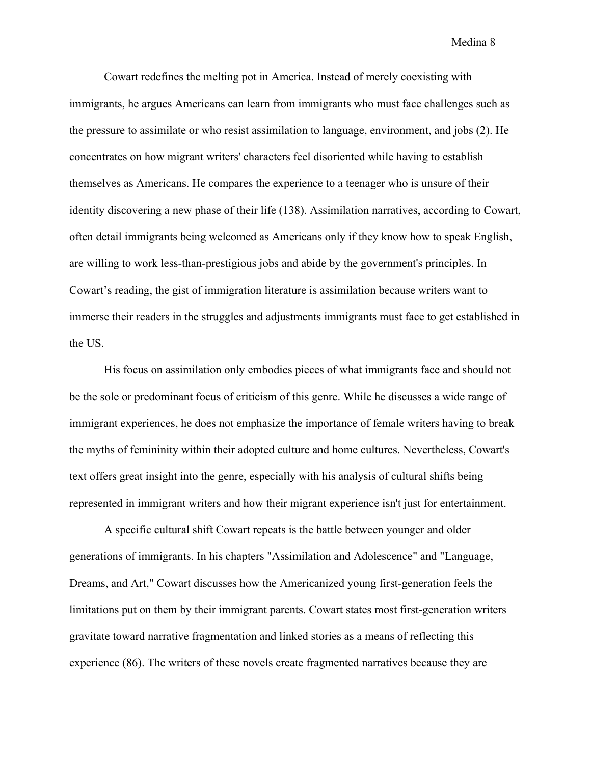Cowart redefines the melting pot in America. Instead of merely coexisting with immigrants, he argues Americans can learn from immigrants who must face challenges such as the pressure to assimilate or who resist assimilation to language, environment, and jobs (2). He concentrates on how migrant writers' characters feel disoriented while having to establish themselves as Americans. He compares the experience to a teenager who is unsure of their identity discovering a new phase of their life (138). Assimilation narratives, according to Cowart, often detail immigrants being welcomed as Americans only if they know how to speak English, are willing to work less-than-prestigious jobs and abide by the government's principles. In Cowart's reading, the gist of immigration literature is assimilation because writers want to immerse their readers in the struggles and adjustments immigrants must face to get established in the US.

His focus on assimilation only embodies pieces of what immigrants face and should not be the sole or predominant focus of criticism of this genre. While he discusses a wide range of immigrant experiences, he does not emphasize the importance of female writers having to break the myths of femininity within their adopted culture and home cultures. Nevertheless, Cowart's text offers great insight into the genre, especially with his analysis of cultural shifts being represented in immigrant writers and how their migrant experience isn't just for entertainment.

A specific cultural shift Cowart repeats is the battle between younger and older generations of immigrants. In his chapters "Assimilation and Adolescence" and "Language, Dreams, and Art," Cowart discusses how the Americanized young first-generation feels the limitations put on them by their immigrant parents. Cowart states most first-generation writers gravitate toward narrative fragmentation and linked stories as a means of reflecting this experience (86). The writers of these novels create fragmented narratives because they are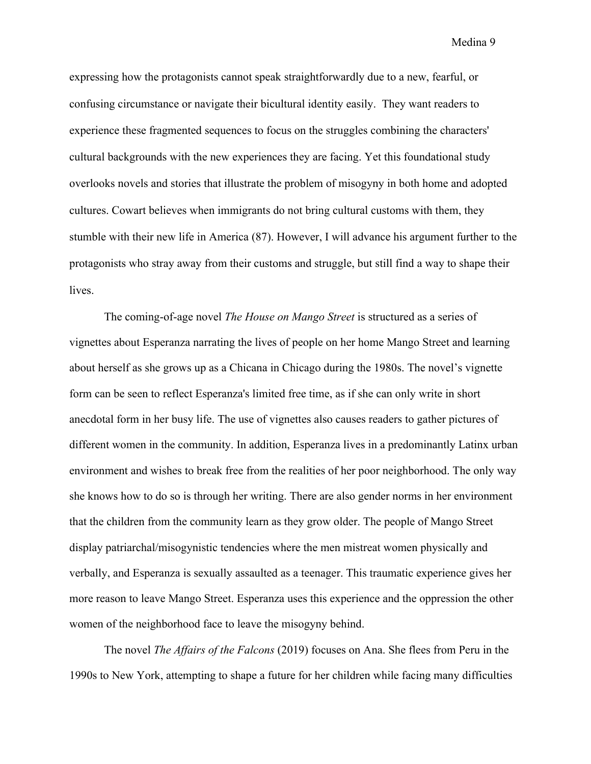expressing how the protagonists cannot speak straightforwardly due to a new, fearful, or confusing circumstance or navigate their bicultural identity easily. They want readers to experience these fragmented sequences to focus on the struggles combining the characters' cultural backgrounds with the new experiences they are facing. Yet this foundational study overlooks novels and stories that illustrate the problem of misogyny in both home and adopted cultures. Cowart believes when immigrants do not bring cultural customs with them, they stumble with their new life in America (87). However, I will advance his argument further to the protagonists who stray away from their customs and struggle, but still find a way to shape their lives.

The coming-of-age novel *The House on Mango Street* is structured as a series of vignettes about Esperanza narrating the lives of people on her home Mango Street and learning about herself as she grows up as a Chicana in Chicago during the 1980s. The novel's vignette form can be seen to reflect Esperanza's limited free time, as if she can only write in short anecdotal form in her busy life. The use of vignettes also causes readers to gather pictures of different women in the community. In addition, Esperanza lives in a predominantly Latinx urban environment and wishes to break free from the realities of her poor neighborhood. The only way she knows how to do so is through her writing. There are also gender norms in her environment that the children from the community learn as they grow older. The people of Mango Street display patriarchal/misogynistic tendencies where the men mistreat women physically and verbally, and Esperanza is sexually assaulted as a teenager. This traumatic experience gives her more reason to leave Mango Street. Esperanza uses this experience and the oppression the other women of the neighborhood face to leave the misogyny behind.

The novel *The Affairs of the Falcons* (2019) focuses on Ana. She flees from Peru in the 1990s to New York, attempting to shape a future for her children while facing many difficulties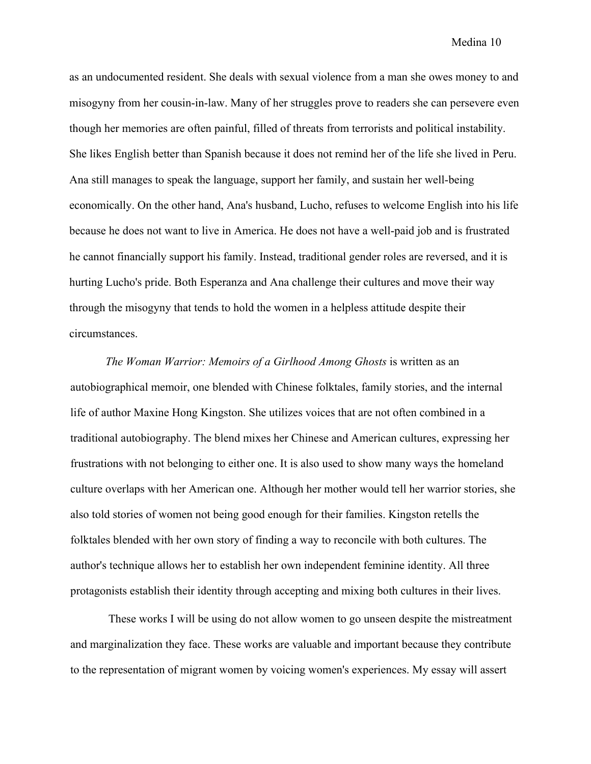as an undocumented resident. She deals with sexual violence from a man she owes money to and misogyny from her cousin-in-law. Many of her struggles prove to readers she can persevere even though her memories are often painful, filled of threats from terrorists and political instability. She likes English better than Spanish because it does not remind her of the life she lived in Peru. Ana still manages to speak the language, support her family, and sustain her well-being economically. On the other hand, Ana's husband, Lucho, refuses to welcome English into his life because he does not want to live in America. He does not have a well-paid job and is frustrated he cannot financially support his family. Instead, traditional gender roles are reversed, and it is hurting Lucho's pride. Both Esperanza and Ana challenge their cultures and move their way through the misogyny that tends to hold the women in a helpless attitude despite their circumstances.

*The Woman Warrior: Memoirs of a Girlhood Among Ghosts* is written as an autobiographical memoir, one blended with Chinese folktales, family stories, and the internal life of author Maxine Hong Kingston. She utilizes voices that are not often combined in a traditional autobiography. The blend mixes her Chinese and American cultures, expressing her frustrations with not belonging to either one. It is also used to show many ways the homeland culture overlaps with her American one. Although her mother would tell her warrior stories, she also told stories of women not being good enough for their families. Kingston retells the folktales blended with her own story of finding a way to reconcile with both cultures. The author's technique allows her to establish her own independent feminine identity. All three protagonists establish their identity through accepting and mixing both cultures in their lives.

These works I will be using do not allow women to go unseen despite the mistreatment and marginalization they face. These works are valuable and important because they contribute to the representation of migrant women by voicing women's experiences. My essay will assert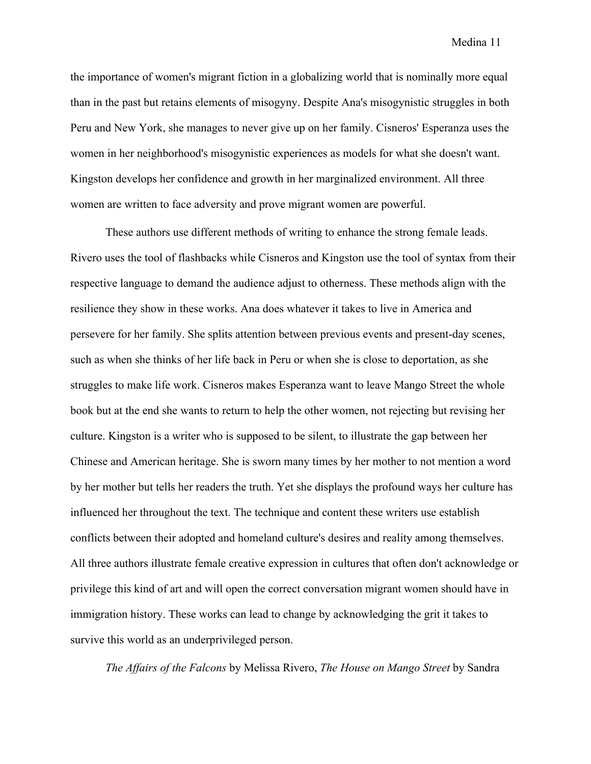the importance of women's migrant fiction in a globalizing world that is nominally more equal than in the past but retains elements of misogyny. Despite Ana's misogynistic struggles in both Peru and New York, she manages to never give up on her family. Cisneros' Esperanza uses the women in her neighborhood's misogynistic experiences as models for what she doesn't want. Kingston develops her confidence and growth in her marginalized environment. All three women are written to face adversity and prove migrant women are powerful.

These authors use different methods of writing to enhance the strong female leads. Rivero uses the tool of flashbacks while Cisneros and Kingston use the tool of syntax from their respective language to demand the audience adjust to otherness. These methods align with the resilience they show in these works. Ana does whatever it takes to live in America and persevere for her family. She splits attention between previous events and present-day scenes, such as when she thinks of her life back in Peru or when she is close to deportation, as she struggles to make life work. Cisneros makes Esperanza want to leave Mango Street the whole book but at the end she wants to return to help the other women, not rejecting but revising her culture. Kingston is a writer who is supposed to be silent, to illustrate the gap between her Chinese and American heritage. She is sworn many times by her mother to not mention a word by her mother but tells her readers the truth. Yet she displays the profound ways her culture has influenced her throughout the text. The technique and content these writers use establish conflicts between their adopted and homeland culture's desires and reality among themselves. All three authors illustrate female creative expression in cultures that often don't acknowledge or privilege this kind of art and will open the correct conversation migrant women should have in immigration history. These works can lead to change by acknowledging the grit it takes to survive this world as an underprivileged person.

*The Affairs of the Falcons* by Melissa Rivero, *The House on Mango Street* by Sandra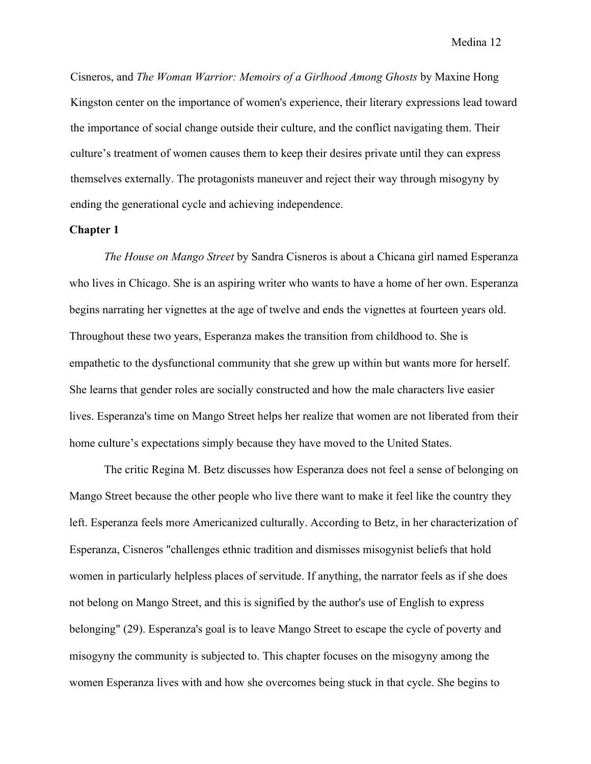Cisneros, and *The Woman Warrior: Memoirs of a Girlhood Among Ghosts* by Maxine Hong Kingston center on the importance of women's experience, their literary expressions lead toward the importance of social change outside their culture, and the conflict navigating them. Their culture's treatment of women causes them to keep their desires private until they can express themselves externally. The protagonists maneuver and reject their way through misogyny by ending the generational cycle and achieving independence.

#### **Chapter 1**

*The House on Mango Street* by Sandra Cisneros is about a Chicana girl named Esperanza who lives in Chicago. She is an aspiring writer who wants to have a home of her own. Esperanza begins narrating her vignettes at the age of twelve and ends the vignettes at fourteen years old. Throughout these two years, Esperanza makes the transition from childhood to. She is empathetic to the dysfunctional community that she grew up within but wants more for herself. She learns that gender roles are socially constructed and how the male characters live easier lives. Esperanza's time on Mango Street helps her realize that women are not liberated from their home culture's expectations simply because they have moved to the United States.

The critic Regina M. Betz discusses how Esperanza does not feel a sense of belonging on Mango Street because the other people who live there want to make it feel like the country they left. Esperanza feels more Americanized culturally. According to Betz, in her characterization of Esperanza, Cisneros "challenges ethnic tradition and dismisses misogynist beliefs that hold women in particularly helpless places of servitude. If anything, the narrator feels as if she does not belong on Mango Street, and this is signified by the author's use of English to express belonging" (29). Esperanza's goal is to leave Mango Street to escape the cycle of poverty and misogyny the community is subjected to. This chapter focuses on the misogyny among the women Esperanza lives with and how she overcomes being stuck in that cycle. She begins to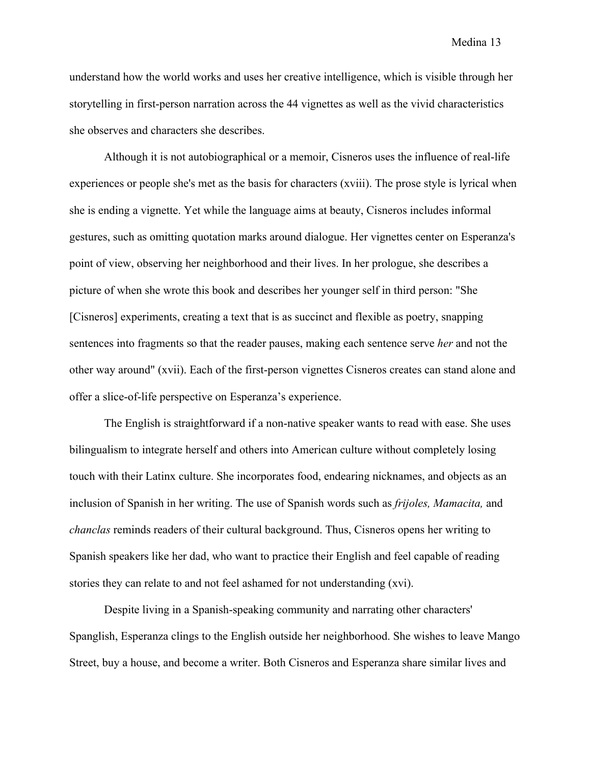understand how the world works and uses her creative intelligence, which is visible through her storytelling in first-person narration across the 44 vignettes as well as the vivid characteristics she observes and characters she describes.

Although it is not autobiographical or a memoir, Cisneros uses the influence of real-life experiences or people she's met as the basis for characters (xviii). The prose style is lyrical when she is ending a vignette. Yet while the language aims at beauty, Cisneros includes informal gestures, such as omitting quotation marks around dialogue. Her vignettes center on Esperanza's point of view, observing her neighborhood and their lives. In her prologue, she describes a picture of when she wrote this book and describes her younger self in third person: "She [Cisneros] experiments, creating a text that is as succinct and flexible as poetry, snapping sentences into fragments so that the reader pauses, making each sentence serve *her* and not the other way around" (xvii). Each of the first-person vignettes Cisneros creates can stand alone and offer a slice-of-life perspective on Esperanza's experience.

The English is straightforward if a non-native speaker wants to read with ease. She uses bilingualism to integrate herself and others into American culture without completely losing touch with their Latinx culture. She incorporates food, endearing nicknames, and objects as an inclusion of Spanish in her writing. The use of Spanish words such as *frijoles, Mamacita,* and *chanclas* reminds readers of their cultural background. Thus, Cisneros opens her writing to Spanish speakers like her dad, who want to practice their English and feel capable of reading stories they can relate to and not feel ashamed for not understanding (xvi).

Despite living in a Spanish-speaking community and narrating other characters' Spanglish, Esperanza clings to the English outside her neighborhood. She wishes to leave Mango Street, buy a house, and become a writer. Both Cisneros and Esperanza share similar lives and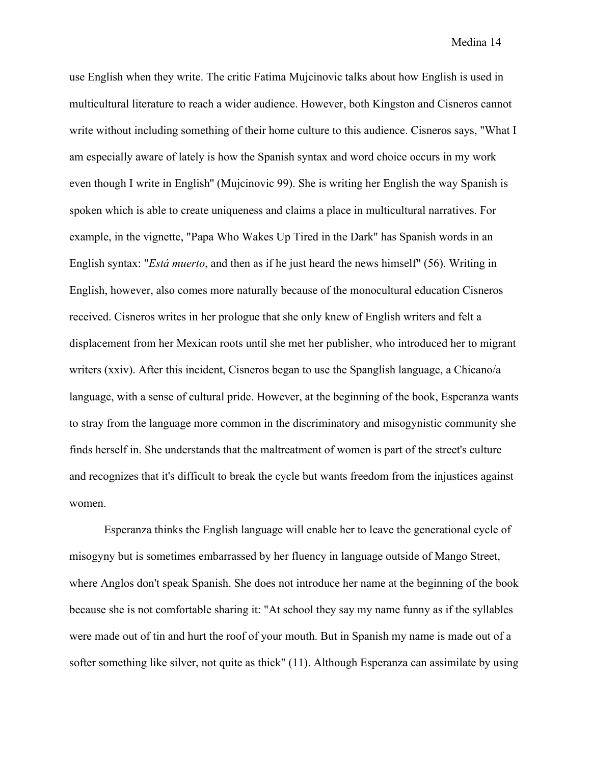use English when they write. The critic Fatima Mujcinovic talks about how English is used in multicultural literature to reach a wider audience. However, both Kingston and Cisneros cannot write without including something of their home culture to this audience. Cisneros says, "What I am especially aware of lately is how the Spanish syntax and word choice occurs in my work even though I write in English'' (Mujcinovic 99). She is writing her English the way Spanish is spoken which is able to create uniqueness and claims a place in multicultural narratives. For example, in the vignette, "Papa Who Wakes Up Tired in the Dark" has Spanish words in an English syntax: "*Está muerto*, and then as if he just heard the news himself" (56). Writing in English, however, also comes more naturally because of the monocultural education Cisneros received. Cisneros writes in her prologue that she only knew of English writers and felt a displacement from her Mexican roots until she met her publisher, who introduced her to migrant writers (xxiv). After this incident, Cisneros began to use the Spanglish language, a Chicano/a language, with a sense of cultural pride. However, at the beginning of the book, Esperanza wants to stray from the language more common in the discriminatory and misogynistic community she finds herself in. She understands that the maltreatment of women is part of the street's culture and recognizes that it's difficult to break the cycle but wants freedom from the injustices against women.

Esperanza thinks the English language will enable her to leave the generational cycle of misogyny but is sometimes embarrassed by her fluency in language outside of Mango Street, where Anglos don't speak Spanish. She does not introduce her name at the beginning of the book because she is not comfortable sharing it: "At school they say my name funny as if the syllables were made out of tin and hurt the roof of your mouth. But in Spanish my name is made out of a softer something like silver, not quite as thick" (11). Although Esperanza can assimilate by using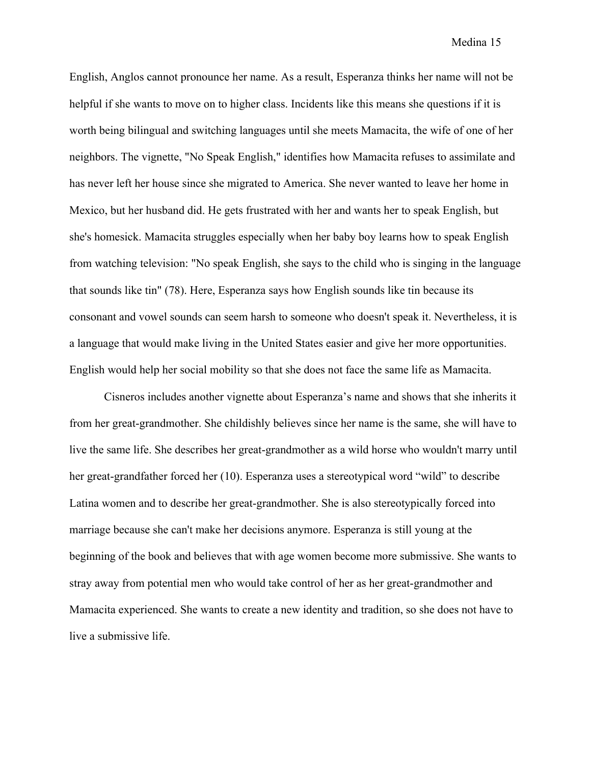English, Anglos cannot pronounce her name. As a result, Esperanza thinks her name will not be helpful if she wants to move on to higher class. Incidents like this means she questions if it is worth being bilingual and switching languages until she meets Mamacita, the wife of one of her neighbors. The vignette, "No Speak English," identifies how Mamacita refuses to assimilate and has never left her house since she migrated to America. She never wanted to leave her home in Mexico, but her husband did. He gets frustrated with her and wants her to speak English, but she's homesick. Mamacita struggles especially when her baby boy learns how to speak English from watching television: "No speak English, she says to the child who is singing in the language that sounds like tin" (78). Here, Esperanza says how English sounds like tin because its consonant and vowel sounds can seem harsh to someone who doesn't speak it. Nevertheless, it is a language that would make living in the United States easier and give her more opportunities. English would help her social mobility so that she does not face the same life as Mamacita.

Cisneros includes another vignette about Esperanza's name and shows that she inherits it from her great-grandmother. She childishly believes since her name is the same, she will have to live the same life. She describes her great-grandmother as a wild horse who wouldn't marry until her great-grandfather forced her (10). Esperanza uses a stereotypical word "wild" to describe Latina women and to describe her great-grandmother. She is also stereotypically forced into marriage because she can't make her decisions anymore. Esperanza is still young at the beginning of the book and believes that with age women become more submissive. She wants to stray away from potential men who would take control of her as her great-grandmother and Mamacita experienced. She wants to create a new identity and tradition, so she does not have to live a submissive life.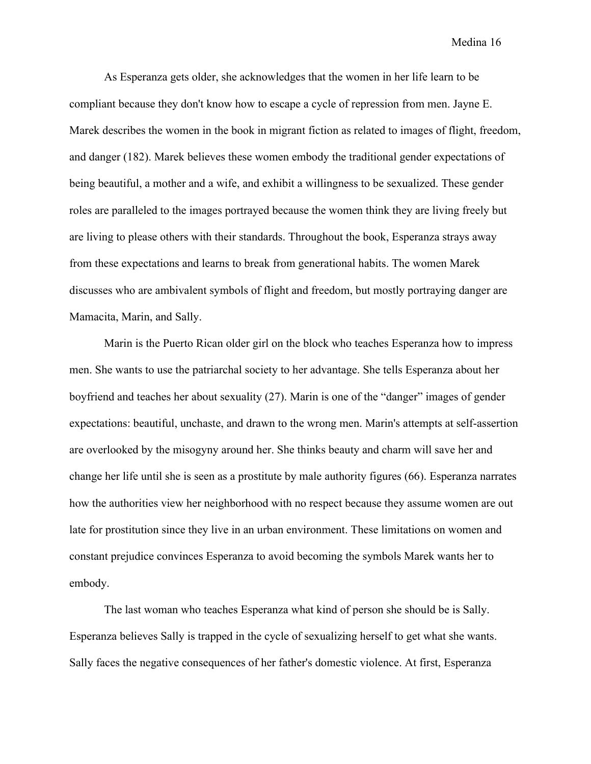As Esperanza gets older, she acknowledges that the women in her life learn to be compliant because they don't know how to escape a cycle of repression from men. Jayne E. Marek describes the women in the book in migrant fiction as related to images of flight, freedom, and danger (182). Marek believes these women embody the traditional gender expectations of being beautiful, a mother and a wife, and exhibit a willingness to be sexualized. These gender roles are paralleled to the images portrayed because the women think they are living freely but are living to please others with their standards. Throughout the book, Esperanza strays away from these expectations and learns to break from generational habits. The women Marek discusses who are ambivalent symbols of flight and freedom, but mostly portraying danger are Mamacita, Marin, and Sally.

Marin is the Puerto Rican older girl on the block who teaches Esperanza how to impress men. She wants to use the patriarchal society to her advantage. She tells Esperanza about her boyfriend and teaches her about sexuality (27). Marin is one of the "danger" images of gender expectations: beautiful, unchaste, and drawn to the wrong men. Marin's attempts at self-assertion are overlooked by the misogyny around her. She thinks beauty and charm will save her and change her life until she is seen as a prostitute by male authority figures (66). Esperanza narrates how the authorities view her neighborhood with no respect because they assume women are out late for prostitution since they live in an urban environment. These limitations on women and constant prejudice convinces Esperanza to avoid becoming the symbols Marek wants her to embody.

The last woman who teaches Esperanza what kind of person she should be is Sally. Esperanza believes Sally is trapped in the cycle of sexualizing herself to get what she wants. Sally faces the negative consequences of her father's domestic violence. At first, Esperanza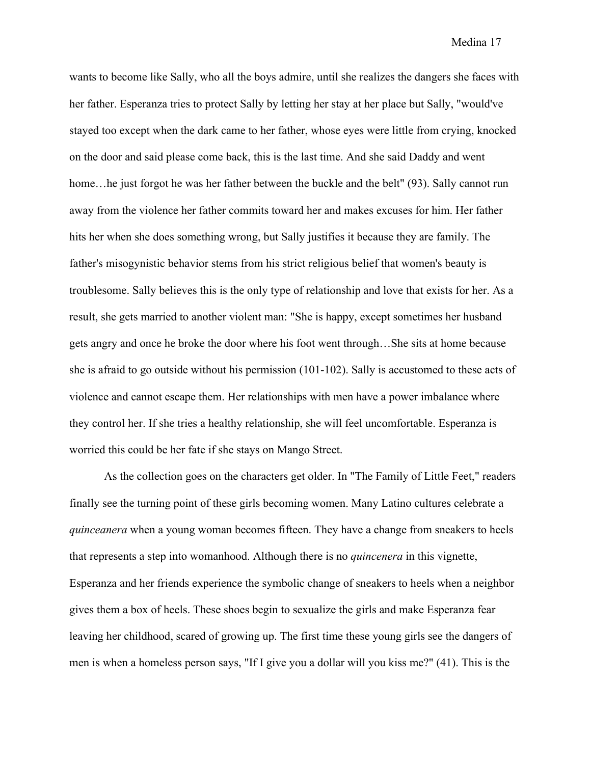wants to become like Sally, who all the boys admire, until she realizes the dangers she faces with her father. Esperanza tries to protect Sally by letting her stay at her place but Sally, "would've stayed too except when the dark came to her father, whose eyes were little from crying, knocked on the door and said please come back, this is the last time. And she said Daddy and went home... he just forgot he was her father between the buckle and the belt" (93). Sally cannot run away from the violence her father commits toward her and makes excuses for him. Her father hits her when she does something wrong, but Sally justifies it because they are family. The father's misogynistic behavior stems from his strict religious belief that women's beauty is troublesome. Sally believes this is the only type of relationship and love that exists for her. As a result, she gets married to another violent man: "She is happy, except sometimes her husband gets angry and once he broke the door where his foot went through…She sits at home because she is afraid to go outside without his permission (101-102). Sally is accustomed to these acts of violence and cannot escape them. Her relationships with men have a power imbalance where they control her. If she tries a healthy relationship, she will feel uncomfortable. Esperanza is worried this could be her fate if she stays on Mango Street.

As the collection goes on the characters get older. In "The Family of Little Feet," readers finally see the turning point of these girls becoming women. Many Latino cultures celebrate a *quinceanera* when a young woman becomes fifteen. They have a change from sneakers to heels that represents a step into womanhood. Although there is no *quincenera* in this vignette, Esperanza and her friends experience the symbolic change of sneakers to heels when a neighbor gives them a box of heels. These shoes begin to sexualize the girls and make Esperanza fear leaving her childhood, scared of growing up. The first time these young girls see the dangers of men is when a homeless person says, "If I give you a dollar will you kiss me?" (41). This is the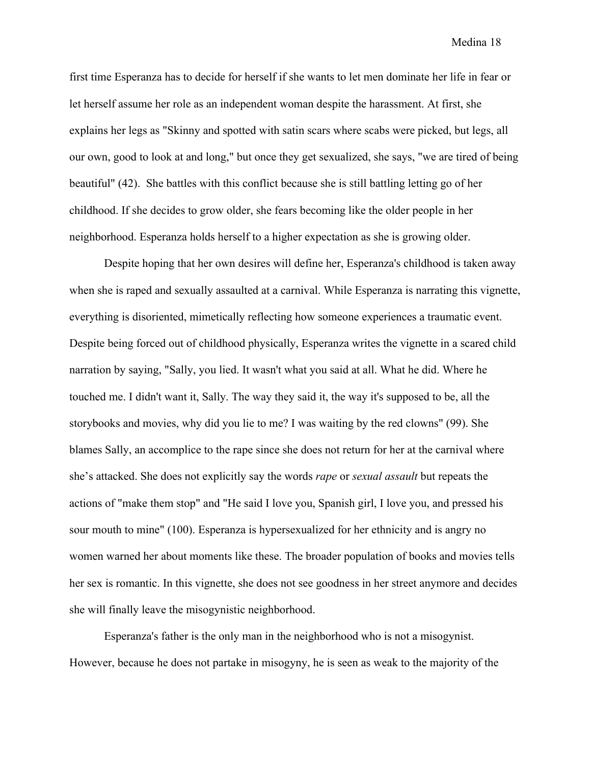first time Esperanza has to decide for herself if she wants to let men dominate her life in fear or let herself assume her role as an independent woman despite the harassment. At first, she explains her legs as "Skinny and spotted with satin scars where scabs were picked, but legs, all our own, good to look at and long," but once they get sexualized, she says, "we are tired of being beautiful" (42). She battles with this conflict because she is still battling letting go of her childhood. If she decides to grow older, she fears becoming like the older people in her neighborhood. Esperanza holds herself to a higher expectation as she is growing older.

Despite hoping that her own desires will define her, Esperanza's childhood is taken away when she is raped and sexually assaulted at a carnival. While Esperanza is narrating this vignette, everything is disoriented, mimetically reflecting how someone experiences a traumatic event. Despite being forced out of childhood physically, Esperanza writes the vignette in a scared child narration by saying, "Sally, you lied. It wasn't what you said at all. What he did. Where he touched me. I didn't want it, Sally. The way they said it, the way it's supposed to be, all the storybooks and movies, why did you lie to me? I was waiting by the red clowns" (99). She blames Sally, an accomplice to the rape since she does not return for her at the carnival where she's attacked. She does not explicitly say the words *rape* or *sexual assault* but repeats the actions of "make them stop" and "He said I love you, Spanish girl, I love you, and pressed his sour mouth to mine" (100). Esperanza is hypersexualized for her ethnicity and is angry no women warned her about moments like these. The broader population of books and movies tells her sex is romantic. In this vignette, she does not see goodness in her street anymore and decides she will finally leave the misogynistic neighborhood.

Esperanza's father is the only man in the neighborhood who is not a misogynist. However, because he does not partake in misogyny, he is seen as weak to the majority of the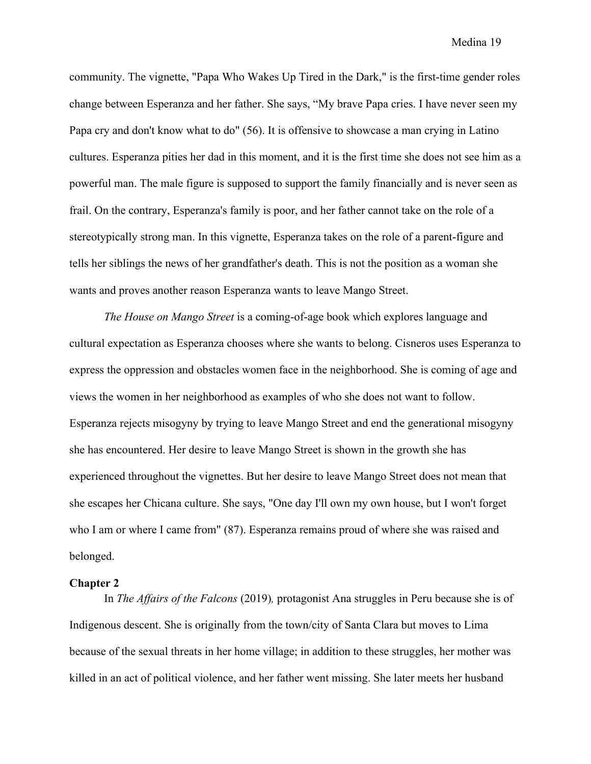community. The vignette, "Papa Who Wakes Up Tired in the Dark," is the first-time gender roles change between Esperanza and her father. She says, "My brave Papa cries. I have never seen my Papa cry and don't know what to do" (56). It is offensive to showcase a man crying in Latino cultures. Esperanza pities her dad in this moment, and it is the first time she does not see him as a powerful man. The male figure is supposed to support the family financially and is never seen as frail. On the contrary, Esperanza's family is poor, and her father cannot take on the role of a stereotypically strong man. In this vignette, Esperanza takes on the role of a parent-figure and tells her siblings the news of her grandfather's death. This is not the position as a woman she wants and proves another reason Esperanza wants to leave Mango Street.

*The House on Mango Street* is a coming-of-age book which explores language and cultural expectation as Esperanza chooses where she wants to belong. Cisneros uses Esperanza to express the oppression and obstacles women face in the neighborhood. She is coming of age and views the women in her neighborhood as examples of who she does not want to follow. Esperanza rejects misogyny by trying to leave Mango Street and end the generational misogyny she has encountered. Her desire to leave Mango Street is shown in the growth she has experienced throughout the vignettes. But her desire to leave Mango Street does not mean that she escapes her Chicana culture. She says, "One day I'll own my own house, but I won't forget who I am or where I came from" (87). Esperanza remains proud of where she was raised and belonged.

#### **Chapter 2**

In *The Affairs of the Falcons* (2019)*,* protagonist Ana struggles in Peru because she is of Indigenous descent. She is originally from the town/city of Santa Clara but moves to Lima because of the sexual threats in her home village; in addition to these struggles, her mother was killed in an act of political violence, and her father went missing. She later meets her husband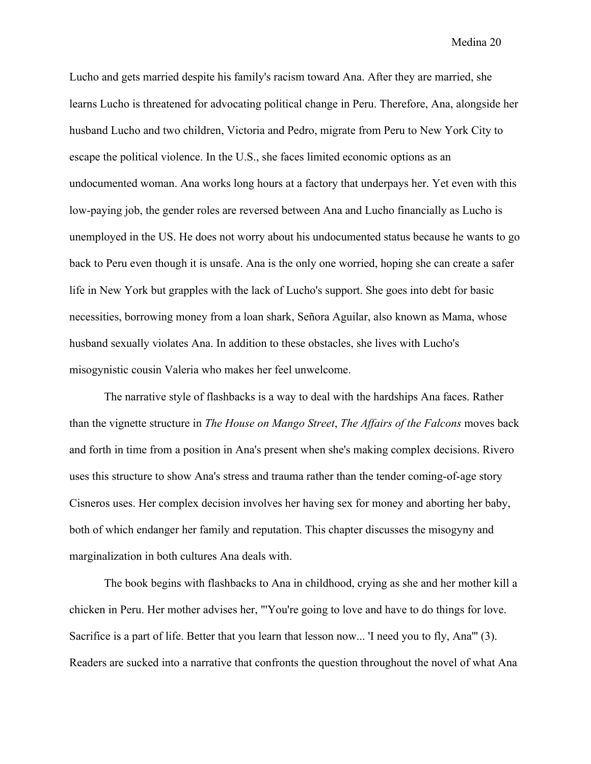Lucho and gets married despite his family's racism toward Ana. After they are married, she learns Lucho is threatened for advocating political change in Peru. Therefore, Ana, alongside her husband Lucho and two children, Victoria and Pedro, migrate from Peru to New York City to escape the political violence. In the U.S., she faces limited economic options as an undocumented woman. Ana works long hours at a factory that underpays her. Yet even with this low-paying job, the gender roles are reversed between Ana and Lucho financially as Lucho is unemployed in the US. He does not worry about his undocumented status because he wants to go back to Peru even though it is unsafe. Ana is the only one worried, hoping she can create a safer life in New York but grapples with the lack of Lucho's support. She goes into debt for basic necessities, borrowing money from a loan shark, Señora Aguilar, also known as Mama, whose husband sexually violates Ana. In addition to these obstacles, she lives with Lucho's misogynistic cousin Valeria who makes her feel unwelcome.

The narrative style of flashbacks is a way to deal with the hardships Ana faces. Rather than the vignette structure in *The House on Mango Street*, *The Affairs of the Falcons* moves back and forth in time from a position in Ana's present when she's making complex decisions. Rivero uses this structure to show Ana's stress and trauma rather than the tender coming-of-age story Cisneros uses. Her complex decision involves her having sex for money and aborting her baby, both of which endanger her family and reputation. This chapter discusses the misogyny and marginalization in both cultures Ana deals with.

The book begins with flashbacks to Ana in childhood, crying as she and her mother kill a chicken in Peru. Her mother advises her, "'You're going to love and have to do things for love. Sacrifice is a part of life. Better that you learn that lesson now... 'I need you to fly, Ana''' (3). Readers are sucked into a narrative that confronts the question throughout the novel of what Ana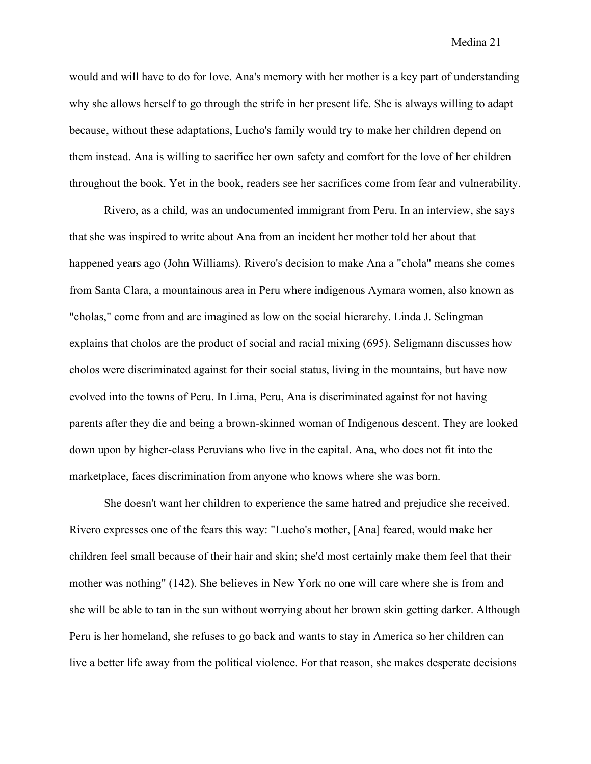would and will have to do for love. Ana's memory with her mother is a key part of understanding why she allows herself to go through the strife in her present life. She is always willing to adapt because, without these adaptations, Lucho's family would try to make her children depend on them instead. Ana is willing to sacrifice her own safety and comfort for the love of her children throughout the book. Yet in the book, readers see her sacrifices come from fear and vulnerability.

Rivero, as a child, was an undocumented immigrant from Peru. In an interview, she says that she was inspired to write about Ana from an incident her mother told her about that happened years ago (John Williams). Rivero's decision to make Ana a "chola" means she comes from Santa Clara, a mountainous area in Peru where indigenous Aymara women, also known as "cholas," come from and are imagined as low on the social hierarchy. Linda J. Selingman explains that cholos are the product of social and racial mixing (695). Seligmann discusses how cholos were discriminated against for their social status, living in the mountains, but have now evolved into the towns of Peru. In Lima, Peru, Ana is discriminated against for not having parents after they die and being a brown-skinned woman of Indigenous descent. They are looked down upon by higher-class Peruvians who live in the capital. Ana, who does not fit into the marketplace, faces discrimination from anyone who knows where she was born.

She doesn't want her children to experience the same hatred and prejudice she received. Rivero expresses one of the fears this way: "Lucho's mother, [Ana] feared, would make her children feel small because of their hair and skin; she'd most certainly make them feel that their mother was nothing" (142). She believes in New York no one will care where she is from and she will be able to tan in the sun without worrying about her brown skin getting darker. Although Peru is her homeland, she refuses to go back and wants to stay in America so her children can live a better life away from the political violence. For that reason, she makes desperate decisions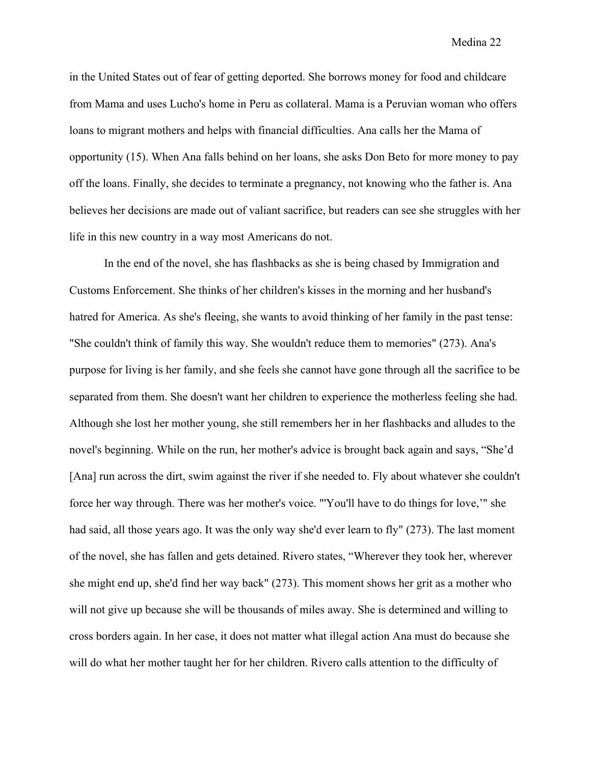in the United States out of fear of getting deported. She borrows money for food and childcare from Mama and uses Lucho's home in Peru as collateral. Mama is a Peruvian woman who offers loans to migrant mothers and helps with financial difficulties. Ana calls her the Mama of opportunity (15). When Ana falls behind on her loans, she asks Don Beto for more money to pay off the loans. Finally, she decides to terminate a pregnancy, not knowing who the father is. Ana believes her decisions are made out of valiant sacrifice, but readers can see she struggles with her life in this new country in a way most Americans do not.

In the end of the novel, she has flashbacks as she is being chased by Immigration and Customs Enforcement. She thinks of her children's kisses in the morning and her husband's hatred for America. As she's fleeing, she wants to avoid thinking of her family in the past tense: "She couldn't think of family this way. She wouldn't reduce them to memories" (273). Ana's purpose for living is her family, and she feels she cannot have gone through all the sacrifice to be separated from them. She doesn't want her children to experience the motherless feeling she had. Although she lost her mother young, she still remembers her in her flashbacks and alludes to the novel's beginning. While on the run, her mother's advice is brought back again and says, "She'd [Ana] run across the dirt, swim against the river if she needed to. Fly about whatever she couldn't force her way through. There was her mother's voice. "'You'll have to do things for love,'" she had said, all those years ago. It was the only way she'd ever learn to fly" (273). The last moment of the novel, she has fallen and gets detained. Rivero states, "Wherever they took her, wherever she might end up, she'd find her way back" (273). This moment shows her grit as a mother who will not give up because she will be thousands of miles away. She is determined and willing to cross borders again. In her case, it does not matter what illegal action Ana must do because she will do what her mother taught her for her children. Rivero calls attention to the difficulty of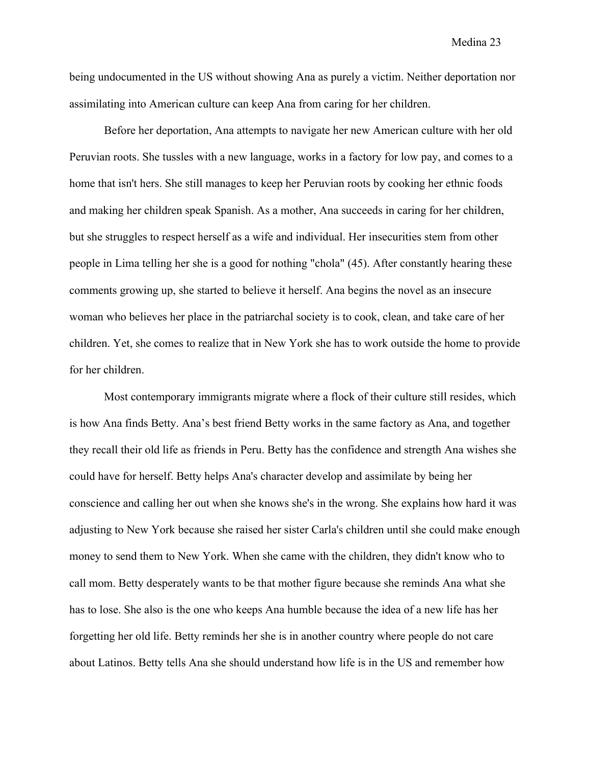being undocumented in the US without showing Ana as purely a victim. Neither deportation nor assimilating into American culture can keep Ana from caring for her children.

Before her deportation, Ana attempts to navigate her new American culture with her old Peruvian roots. She tussles with a new language, works in a factory for low pay, and comes to a home that isn't hers. She still manages to keep her Peruvian roots by cooking her ethnic foods and making her children speak Spanish. As a mother, Ana succeeds in caring for her children, but she struggles to respect herself as a wife and individual. Her insecurities stem from other people in Lima telling her she is a good for nothing "chola" (45). After constantly hearing these comments growing up, she started to believe it herself. Ana begins the novel as an insecure woman who believes her place in the patriarchal society is to cook, clean, and take care of her children. Yet, she comes to realize that in New York she has to work outside the home to provide for her children.

Most contemporary immigrants migrate where a flock of their culture still resides, which is how Ana finds Betty. Ana's best friend Betty works in the same factory as Ana, and together they recall their old life as friends in Peru. Betty has the confidence and strength Ana wishes she could have for herself. Betty helps Ana's character develop and assimilate by being her conscience and calling her out when she knows she's in the wrong. She explains how hard it was adjusting to New York because she raised her sister Carla's children until she could make enough money to send them to New York. When she came with the children, they didn't know who to call mom. Betty desperately wants to be that mother figure because she reminds Ana what she has to lose. She also is the one who keeps Ana humble because the idea of a new life has her forgetting her old life. Betty reminds her she is in another country where people do not care about Latinos. Betty tells Ana she should understand how life is in the US and remember how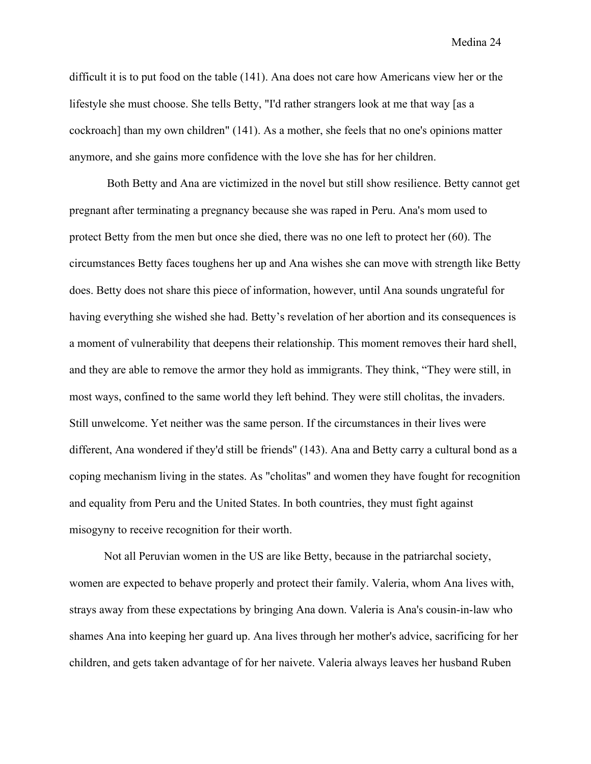difficult it is to put food on the table (141). Ana does not care how Americans view her or the lifestyle she must choose. She tells Betty, "I'd rather strangers look at me that way [as a cockroach] than my own children" (141). As a mother, she feels that no one's opinions matter anymore, and she gains more confidence with the love she has for her children.

Both Betty and Ana are victimized in the novel but still show resilience. Betty cannot get pregnant after terminating a pregnancy because she was raped in Peru. Ana's mom used to protect Betty from the men but once she died, there was no one left to protect her (60). The circumstances Betty faces toughens her up and Ana wishes she can move with strength like Betty does. Betty does not share this piece of information, however, until Ana sounds ungrateful for having everything she wished she had. Betty's revelation of her abortion and its consequences is a moment of vulnerability that deepens their relationship. This moment removes their hard shell, and they are able to remove the armor they hold as immigrants. They think, "They were still, in most ways, confined to the same world they left behind. They were still cholitas, the invaders. Still unwelcome. Yet neither was the same person. If the circumstances in their lives were different, Ana wondered if they'd still be friends'' (143). Ana and Betty carry a cultural bond as a coping mechanism living in the states. As "cholitas" and women they have fought for recognition and equality from Peru and the United States. In both countries, they must fight against misogyny to receive recognition for their worth.

Not all Peruvian women in the US are like Betty, because in the patriarchal society, women are expected to behave properly and protect their family. Valeria, whom Ana lives with, strays away from these expectations by bringing Ana down. Valeria is Ana's cousin-in-law who shames Ana into keeping her guard up. Ana lives through her mother's advice, sacrificing for her children, and gets taken advantage of for her naivete. Valeria always leaves her husband Ruben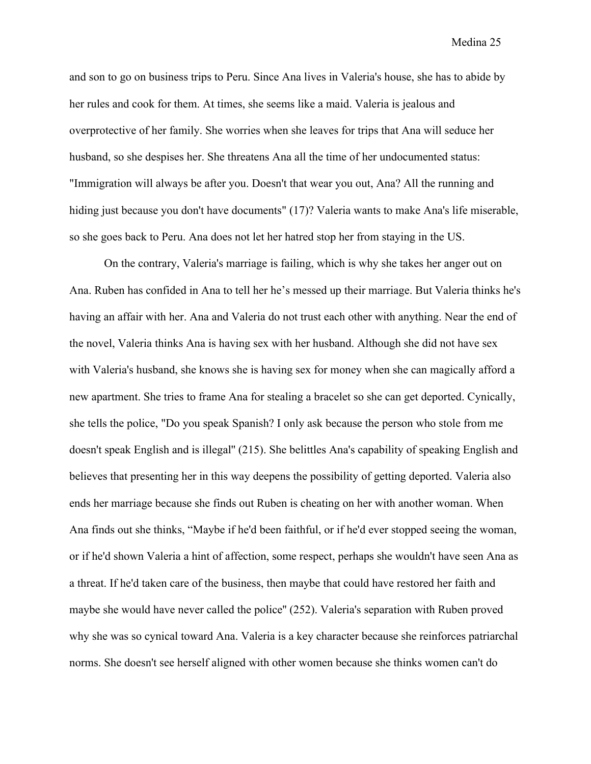and son to go on business trips to Peru. Since Ana lives in Valeria's house, she has to abide by her rules and cook for them. At times, she seems like a maid. Valeria is jealous and overprotective of her family. She worries when she leaves for trips that Ana will seduce her husband, so she despises her. She threatens Ana all the time of her undocumented status: "Immigration will always be after you. Doesn't that wear you out, Ana? All the running and hiding just because you don't have documents" (17)? Valeria wants to make Ana's life miserable, so she goes back to Peru. Ana does not let her hatred stop her from staying in the US.

On the contrary, Valeria's marriage is failing, which is why she takes her anger out on Ana. Ruben has confided in Ana to tell her he's messed up their marriage. But Valeria thinks he's having an affair with her. Ana and Valeria do not trust each other with anything. Near the end of the novel, Valeria thinks Ana is having sex with her husband. Although she did not have sex with Valeria's husband, she knows she is having sex for money when she can magically afford a new apartment. She tries to frame Ana for stealing a bracelet so she can get deported. Cynically, she tells the police, "Do you speak Spanish? I only ask because the person who stole from me doesn't speak English and is illegal'' (215). She belittles Ana's capability of speaking English and believes that presenting her in this way deepens the possibility of getting deported. Valeria also ends her marriage because she finds out Ruben is cheating on her with another woman. When Ana finds out she thinks, "Maybe if he'd been faithful, or if he'd ever stopped seeing the woman, or if he'd shown Valeria a hint of affection, some respect, perhaps she wouldn't have seen Ana as a threat. If he'd taken care of the business, then maybe that could have restored her faith and maybe she would have never called the police'' (252). Valeria's separation with Ruben proved why she was so cynical toward Ana. Valeria is a key character because she reinforces patriarchal norms. She doesn't see herself aligned with other women because she thinks women can't do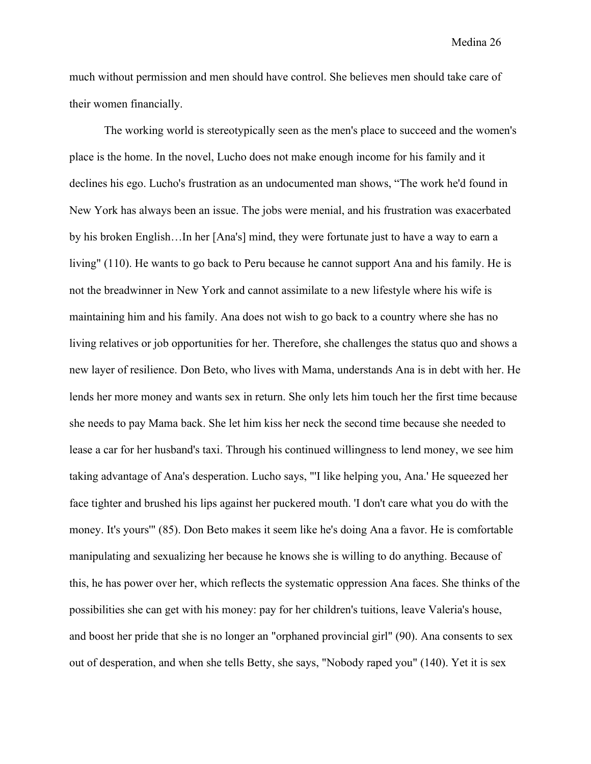much without permission and men should have control. She believes men should take care of their women financially.

The working world is stereotypically seen as the men's place to succeed and the women's place is the home. In the novel, Lucho does not make enough income for his family and it declines his ego. Lucho's frustration as an undocumented man shows, "The work he'd found in New York has always been an issue. The jobs were menial, and his frustration was exacerbated by his broken English…In her [Ana's] mind, they were fortunate just to have a way to earn a living" (110). He wants to go back to Peru because he cannot support Ana and his family. He is not the breadwinner in New York and cannot assimilate to a new lifestyle where his wife is maintaining him and his family. Ana does not wish to go back to a country where she has no living relatives or job opportunities for her. Therefore, she challenges the status quo and shows a new layer of resilience. Don Beto, who lives with Mama, understands Ana is in debt with her. He lends her more money and wants sex in return. She only lets him touch her the first time because she needs to pay Mama back. She let him kiss her neck the second time because she needed to lease a car for her husband's taxi. Through his continued willingness to lend money, we see him taking advantage of Ana's desperation. Lucho says, "'I like helping you, Ana.' He squeezed her face tighter and brushed his lips against her puckered mouth. 'I don't care what you do with the money. It's yours'" (85). Don Beto makes it seem like he's doing Ana a favor. He is comfortable manipulating and sexualizing her because he knows she is willing to do anything. Because of this, he has power over her, which reflects the systematic oppression Ana faces. She thinks of the possibilities she can get with his money: pay for her children's tuitions, leave Valeria's house, and boost her pride that she is no longer an "orphaned provincial girl" (90). Ana consents to sex out of desperation, and when she tells Betty, she says, "Nobody raped you" (140). Yet it is sex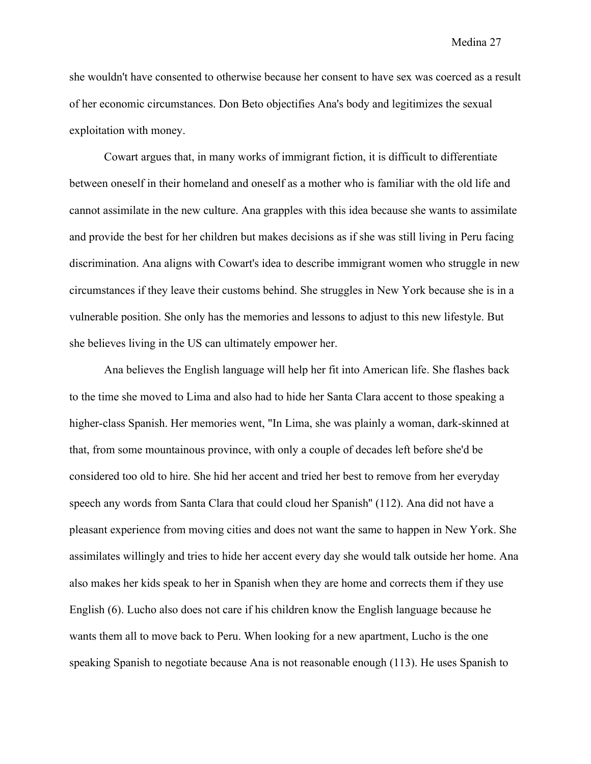she wouldn't have consented to otherwise because her consent to have sex was coerced as a result of her economic circumstances. Don Beto objectifies Ana's body and legitimizes the sexual exploitation with money.

Cowart argues that, in many works of immigrant fiction, it is difficult to differentiate between oneself in their homeland and oneself as a mother who is familiar with the old life and cannot assimilate in the new culture. Ana grapples with this idea because she wants to assimilate and provide the best for her children but makes decisions as if she was still living in Peru facing discrimination. Ana aligns with Cowart's idea to describe immigrant women who struggle in new circumstances if they leave their customs behind. She struggles in New York because she is in a vulnerable position. She only has the memories and lessons to adjust to this new lifestyle. But she believes living in the US can ultimately empower her.

Ana believes the English language will help her fit into American life. She flashes back to the time she moved to Lima and also had to hide her Santa Clara accent to those speaking a higher-class Spanish. Her memories went, "In Lima, she was plainly a woman, dark-skinned at that, from some mountainous province, with only a couple of decades left before she'd be considered too old to hire. She hid her accent and tried her best to remove from her everyday speech any words from Santa Clara that could cloud her Spanish'' (112). Ana did not have a pleasant experience from moving cities and does not want the same to happen in New York. She assimilates willingly and tries to hide her accent every day she would talk outside her home. Ana also makes her kids speak to her in Spanish when they are home and corrects them if they use English (6). Lucho also does not care if his children know the English language because he wants them all to move back to Peru. When looking for a new apartment, Lucho is the one speaking Spanish to negotiate because Ana is not reasonable enough (113). He uses Spanish to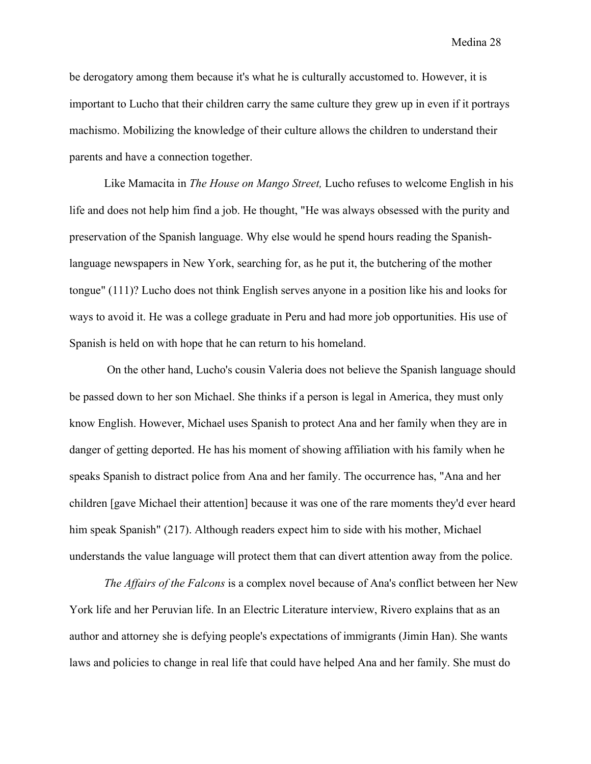be derogatory among them because it's what he is culturally accustomed to. However, it is important to Lucho that their children carry the same culture they grew up in even if it portrays machismo. Mobilizing the knowledge of their culture allows the children to understand their parents and have a connection together.

Like Mamacita in *The House on Mango Street,* Lucho refuses to welcome English in his life and does not help him find a job. He thought, "He was always obsessed with the purity and preservation of the Spanish language. Why else would he spend hours reading the Spanishlanguage newspapers in New York, searching for, as he put it, the butchering of the mother tongue" (111)? Lucho does not think English serves anyone in a position like his and looks for ways to avoid it. He was a college graduate in Peru and had more job opportunities. His use of Spanish is held on with hope that he can return to his homeland.

On the other hand, Lucho's cousin Valeria does not believe the Spanish language should be passed down to her son Michael. She thinks if a person is legal in America, they must only know English. However, Michael uses Spanish to protect Ana and her family when they are in danger of getting deported. He has his moment of showing affiliation with his family when he speaks Spanish to distract police from Ana and her family. The occurrence has, "Ana and her children [gave Michael their attention] because it was one of the rare moments they'd ever heard him speak Spanish" (217). Although readers expect him to side with his mother, Michael understands the value language will protect them that can divert attention away from the police.

*The Affairs of the Falcons* is a complex novel because of Ana's conflict between her New York life and her Peruvian life. In an Electric Literature interview, Rivero explains that as an author and attorney she is defying people's expectations of immigrants (Jimin Han). She wants laws and policies to change in real life that could have helped Ana and her family. She must do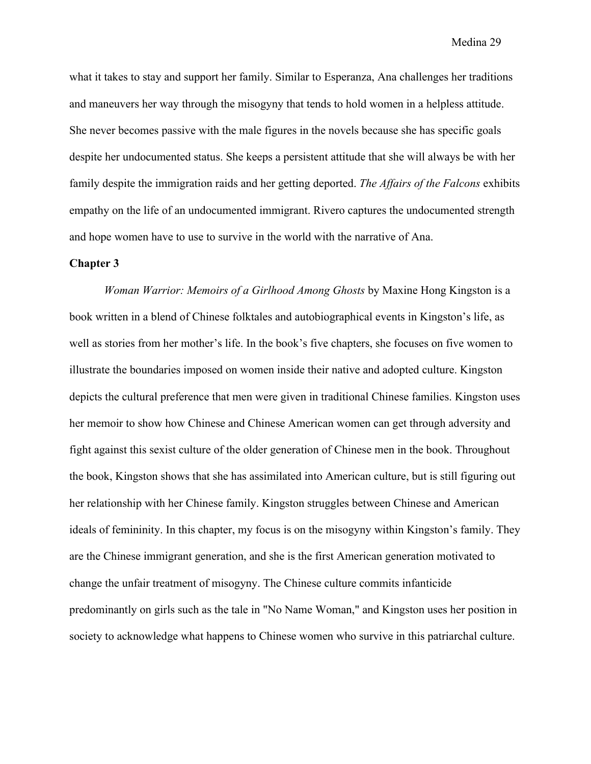what it takes to stay and support her family. Similar to Esperanza, Ana challenges her traditions and maneuvers her way through the misogyny that tends to hold women in a helpless attitude. She never becomes passive with the male figures in the novels because she has specific goals despite her undocumented status. She keeps a persistent attitude that she will always be with her family despite the immigration raids and her getting deported. *The Affairs of the Falcons* exhibits empathy on the life of an undocumented immigrant. Rivero captures the undocumented strength and hope women have to use to survive in the world with the narrative of Ana.

#### **Chapter 3**

*Woman Warrior: Memoirs of a Girlhood Among Ghosts* by Maxine Hong Kingston is a book written in a blend of Chinese folktales and autobiographical events in Kingston's life, as well as stories from her mother's life. In the book's five chapters, she focuses on five women to illustrate the boundaries imposed on women inside their native and adopted culture. Kingston depicts the cultural preference that men were given in traditional Chinese families. Kingston uses her memoir to show how Chinese and Chinese American women can get through adversity and fight against this sexist culture of the older generation of Chinese men in the book. Throughout the book, Kingston shows that she has assimilated into American culture, but is still figuring out her relationship with her Chinese family. Kingston struggles between Chinese and American ideals of femininity. In this chapter, my focus is on the misogyny within Kingston's family. They are the Chinese immigrant generation, and she is the first American generation motivated to change the unfair treatment of misogyny. The Chinese culture commits infanticide predominantly on girls such as the tale in "No Name Woman," and Kingston uses her position in society to acknowledge what happens to Chinese women who survive in this patriarchal culture.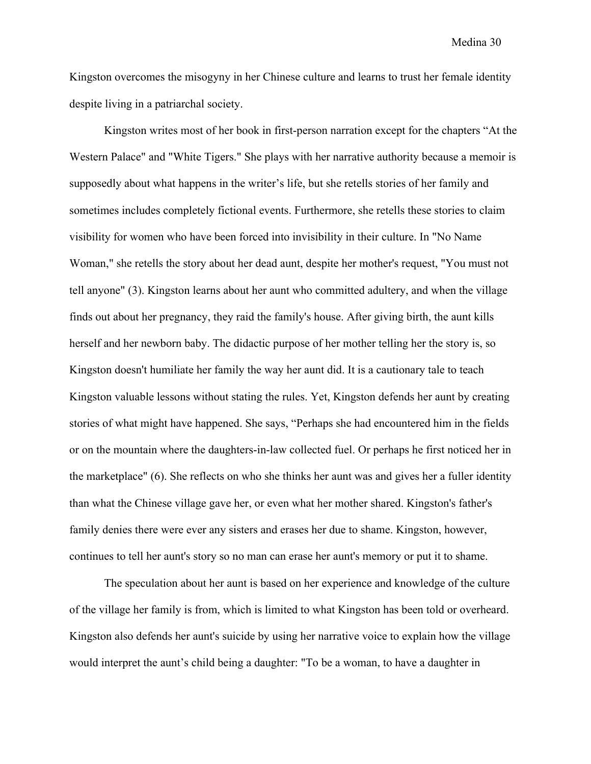Kingston overcomes the misogyny in her Chinese culture and learns to trust her female identity despite living in a patriarchal society.

Kingston writes most of her book in first-person narration except for the chapters "At the Western Palace" and "White Tigers." She plays with her narrative authority because a memoir is supposedly about what happens in the writer's life, but she retells stories of her family and sometimes includes completely fictional events. Furthermore, she retells these stories to claim visibility for women who have been forced into invisibility in their culture. In "No Name Woman," she retells the story about her dead aunt, despite her mother's request, "You must not tell anyone" (3). Kingston learns about her aunt who committed adultery, and when the village finds out about her pregnancy, they raid the family's house. After giving birth, the aunt kills herself and her newborn baby. The didactic purpose of her mother telling her the story is, so Kingston doesn't humiliate her family the way her aunt did. It is a cautionary tale to teach Kingston valuable lessons without stating the rules. Yet, Kingston defends her aunt by creating stories of what might have happened. She says, "Perhaps she had encountered him in the fields or on the mountain where the daughters-in-law collected fuel. Or perhaps he first noticed her in the marketplace" (6). She reflects on who she thinks her aunt was and gives her a fuller identity than what the Chinese village gave her, or even what her mother shared. Kingston's father's family denies there were ever any sisters and erases her due to shame. Kingston, however, continues to tell her aunt's story so no man can erase her aunt's memory or put it to shame.

The speculation about her aunt is based on her experience and knowledge of the culture of the village her family is from, which is limited to what Kingston has been told or overheard. Kingston also defends her aunt's suicide by using her narrative voice to explain how the village would interpret the aunt's child being a daughter: "To be a woman, to have a daughter in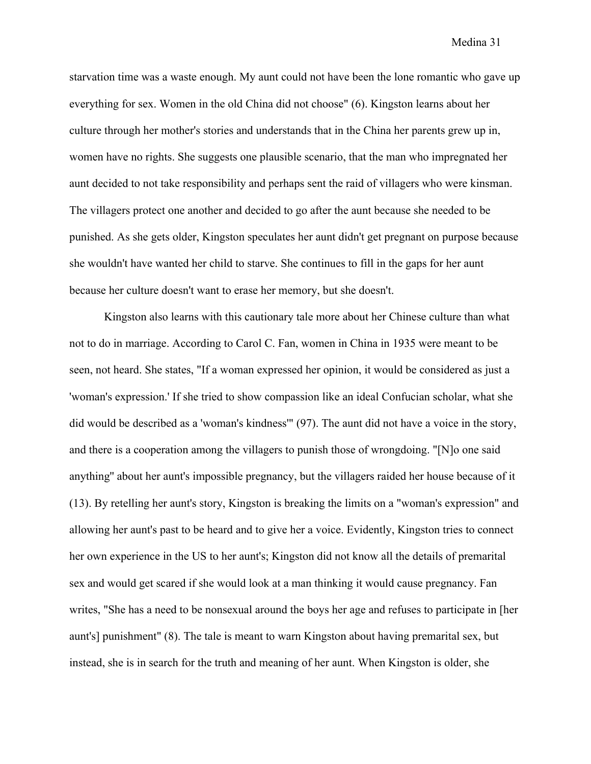starvation time was a waste enough. My aunt could not have been the lone romantic who gave up everything for sex. Women in the old China did not choose" (6). Kingston learns about her culture through her mother's stories and understands that in the China her parents grew up in, women have no rights. She suggests one plausible scenario, that the man who impregnated her aunt decided to not take responsibility and perhaps sent the raid of villagers who were kinsman. The villagers protect one another and decided to go after the aunt because she needed to be punished. As she gets older, Kingston speculates her aunt didn't get pregnant on purpose because she wouldn't have wanted her child to starve. She continues to fill in the gaps for her aunt because her culture doesn't want to erase her memory, but she doesn't.

Kingston also learns with this cautionary tale more about her Chinese culture than what not to do in marriage. According to Carol C. Fan, women in China in 1935 were meant to be seen, not heard. She states, "If a woman expressed her opinion, it would be considered as just a 'woman's expression.' If she tried to show compassion like an ideal Confucian scholar, what she did would be described as a 'woman's kindness'" (97). The aunt did not have a voice in the story, and there is a cooperation among the villagers to punish those of wrongdoing. "[N]o one said anything'' about her aunt's impossible pregnancy, but the villagers raided her house because of it (13). By retelling her aunt's story, Kingston is breaking the limits on a "woman's expression" and allowing her aunt's past to be heard and to give her a voice. Evidently, Kingston tries to connect her own experience in the US to her aunt's; Kingston did not know all the details of premarital sex and would get scared if she would look at a man thinking it would cause pregnancy. Fan writes, "She has a need to be nonsexual around the boys her age and refuses to participate in [her aunt's] punishment" (8). The tale is meant to warn Kingston about having premarital sex, but instead, she is in search for the truth and meaning of her aunt. When Kingston is older, she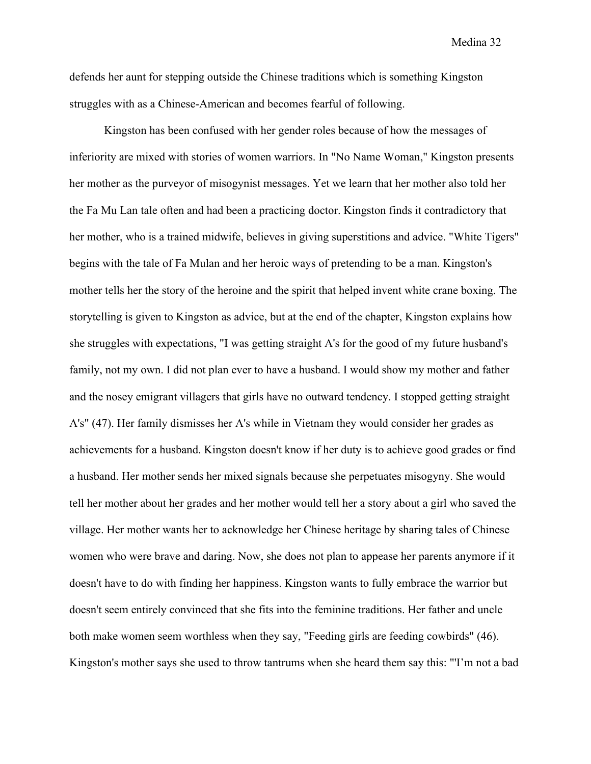defends her aunt for stepping outside the Chinese traditions which is something Kingston struggles with as a Chinese-American and becomes fearful of following.

Kingston has been confused with her gender roles because of how the messages of inferiority are mixed with stories of women warriors. In "No Name Woman," Kingston presents her mother as the purveyor of misogynist messages. Yet we learn that her mother also told her the Fa Mu Lan tale often and had been a practicing doctor. Kingston finds it contradictory that her mother, who is a trained midwife, believes in giving superstitions and advice. "White Tigers" begins with the tale of Fa Mulan and her heroic ways of pretending to be a man. Kingston's mother tells her the story of the heroine and the spirit that helped invent white crane boxing. The storytelling is given to Kingston as advice, but at the end of the chapter, Kingston explains how she struggles with expectations, "I was getting straight A's for the good of my future husband's family, not my own. I did not plan ever to have a husband. I would show my mother and father and the nosey emigrant villagers that girls have no outward tendency. I stopped getting straight A's" (47). Her family dismisses her A's while in Vietnam they would consider her grades as achievements for a husband. Kingston doesn't know if her duty is to achieve good grades or find a husband. Her mother sends her mixed signals because she perpetuates misogyny. She would tell her mother about her grades and her mother would tell her a story about a girl who saved the village. Her mother wants her to acknowledge her Chinese heritage by sharing tales of Chinese women who were brave and daring. Now, she does not plan to appease her parents anymore if it doesn't have to do with finding her happiness. Kingston wants to fully embrace the warrior but doesn't seem entirely convinced that she fits into the feminine traditions. Her father and uncle both make women seem worthless when they say, "Feeding girls are feeding cowbirds" (46). Kingston's mother says she used to throw tantrums when she heard them say this: "'I'm not a bad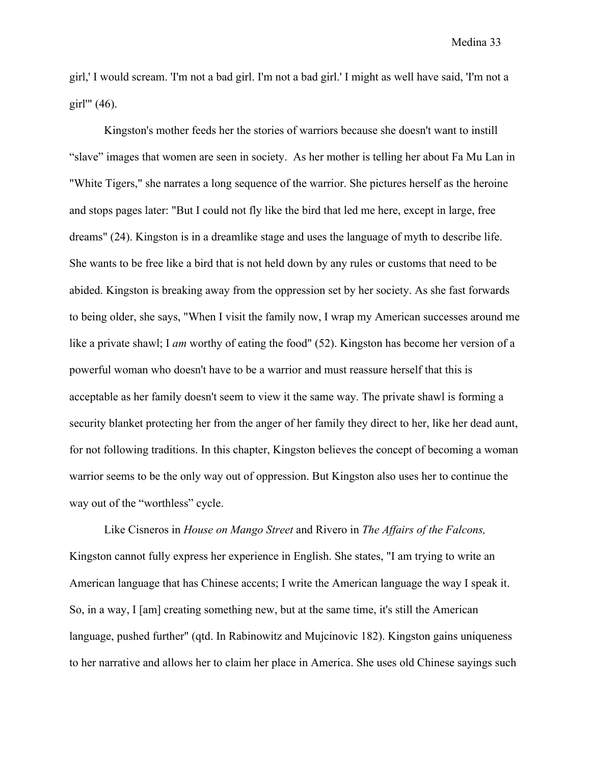girl,' I would scream. 'I'm not a bad girl. I'm not a bad girl.' I might as well have said, 'I'm not a girl'" (46).

Kingston's mother feeds her the stories of warriors because she doesn't want to instill "slave" images that women are seen in society. As her mother is telling her about Fa Mu Lan in "White Tigers," she narrates a long sequence of the warrior. She pictures herself as the heroine and stops pages later: "But I could not fly like the bird that led me here, except in large, free dreams" (24). Kingston is in a dreamlike stage and uses the language of myth to describe life. She wants to be free like a bird that is not held down by any rules or customs that need to be abided. Kingston is breaking away from the oppression set by her society. As she fast forwards to being older, she says, "When I visit the family now, I wrap my American successes around me like a private shawl; I *am* worthy of eating the food" (52). Kingston has become her version of a powerful woman who doesn't have to be a warrior and must reassure herself that this is acceptable as her family doesn't seem to view it the same way. The private shawl is forming a security blanket protecting her from the anger of her family they direct to her, like her dead aunt, for not following traditions. In this chapter, Kingston believes the concept of becoming a woman warrior seems to be the only way out of oppression. But Kingston also uses her to continue the way out of the "worthless" cycle.

Like Cisneros in *House on Mango Street* and Rivero in *The Affairs of the Falcons,*  Kingston cannot fully express her experience in English. She states, "I am trying to write an American language that has Chinese accents; I write the American language the way I speak it. So, in a way, I [am] creating something new, but at the same time, it's still the American language, pushed further" (qtd. In Rabinowitz and Mujcinovic 182). Kingston gains uniqueness to her narrative and allows her to claim her place in America. She uses old Chinese sayings such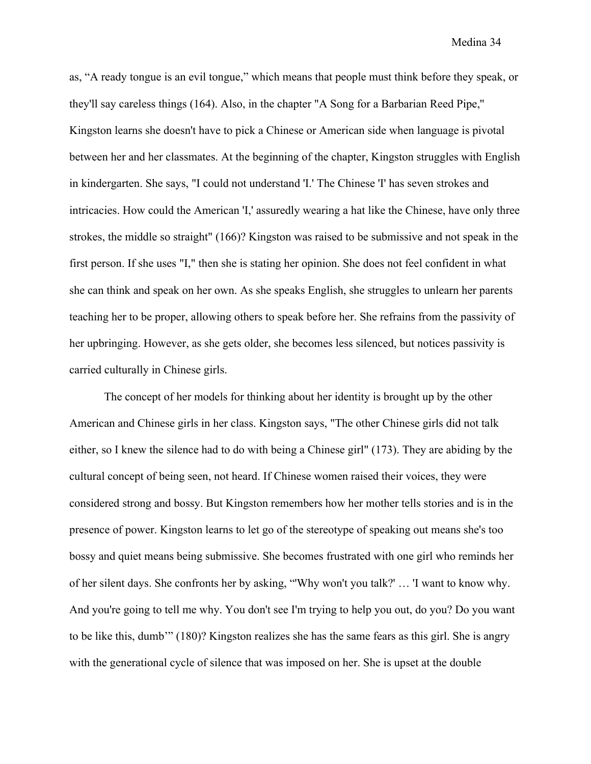as, "A ready tongue is an evil tongue," which means that people must think before they speak, or they'll say careless things (164). Also, in the chapter "A Song for a Barbarian Reed Pipe,'' Kingston learns she doesn't have to pick a Chinese or American side when language is pivotal between her and her classmates. At the beginning of the chapter, Kingston struggles with English in kindergarten. She says, "I could not understand 'I.' The Chinese 'I' has seven strokes and intricacies. How could the American 'I,' assuredly wearing a hat like the Chinese, have only three strokes, the middle so straight" (166)? Kingston was raised to be submissive and not speak in the first person. If she uses "I," then she is stating her opinion. She does not feel confident in what she can think and speak on her own. As she speaks English, she struggles to unlearn her parents teaching her to be proper, allowing others to speak before her. She refrains from the passivity of her upbringing. However, as she gets older, she becomes less silenced, but notices passivity is carried culturally in Chinese girls.

The concept of her models for thinking about her identity is brought up by the other American and Chinese girls in her class. Kingston says, "The other Chinese girls did not talk either, so I knew the silence had to do with being a Chinese girl" (173). They are abiding by the cultural concept of being seen, not heard. If Chinese women raised their voices, they were considered strong and bossy. But Kingston remembers how her mother tells stories and is in the presence of power. Kingston learns to let go of the stereotype of speaking out means she's too bossy and quiet means being submissive. She becomes frustrated with one girl who reminds her of her silent days. She confronts her by asking, "'Why won't you talk?' … 'I want to know why. And you're going to tell me why. You don't see I'm trying to help you out, do you? Do you want to be like this, dumb'" (180)? Kingston realizes she has the same fears as this girl. She is angry with the generational cycle of silence that was imposed on her. She is upset at the double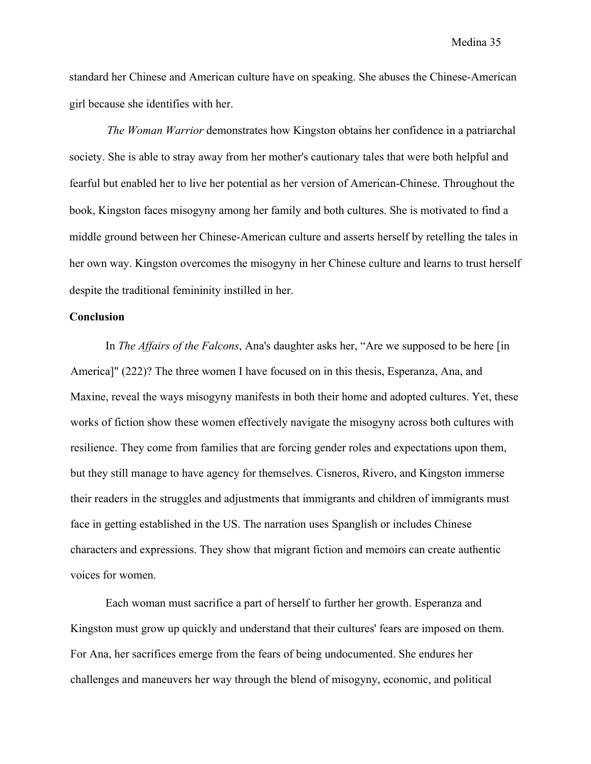standard her Chinese and American culture have on speaking. She abuses the Chinese-American girl because she identifies with her.

*The Woman Warrior* demonstrates how Kingston obtains her confidence in a patriarchal society. She is able to stray away from her mother's cautionary tales that were both helpful and fearful but enabled her to live her potential as her version of American-Chinese. Throughout the book, Kingston faces misogyny among her family and both cultures. She is motivated to find a middle ground between her Chinese-American culture and asserts herself by retelling the tales in her own way. Kingston overcomes the misogyny in her Chinese culture and learns to trust herself despite the traditional femininity instilled in her.

#### **Conclusion**

In *The Affairs of the Falcons*, Ana's daughter asks her, "Are we supposed to be here [in America]" (222)? The three women I have focused on in this thesis, Esperanza, Ana, and Maxine, reveal the ways misogyny manifests in both their home and adopted cultures. Yet, these works of fiction show these women effectively navigate the misogyny across both cultures with resilience. They come from families that are forcing gender roles and expectations upon them, but they still manage to have agency for themselves. Cisneros, Rivero, and Kingston immerse their readers in the struggles and adjustments that immigrants and children of immigrants must face in getting established in the US. The narration uses Spanglish or includes Chinese characters and expressions. They show that migrant fiction and memoirs can create authentic voices for women.

Each woman must sacrifice a part of herself to further her growth. Esperanza and Kingston must grow up quickly and understand that their cultures' fears are imposed on them. For Ana, her sacrifices emerge from the fears of being undocumented. She endures her challenges and maneuvers her way through the blend of misogyny, economic, and political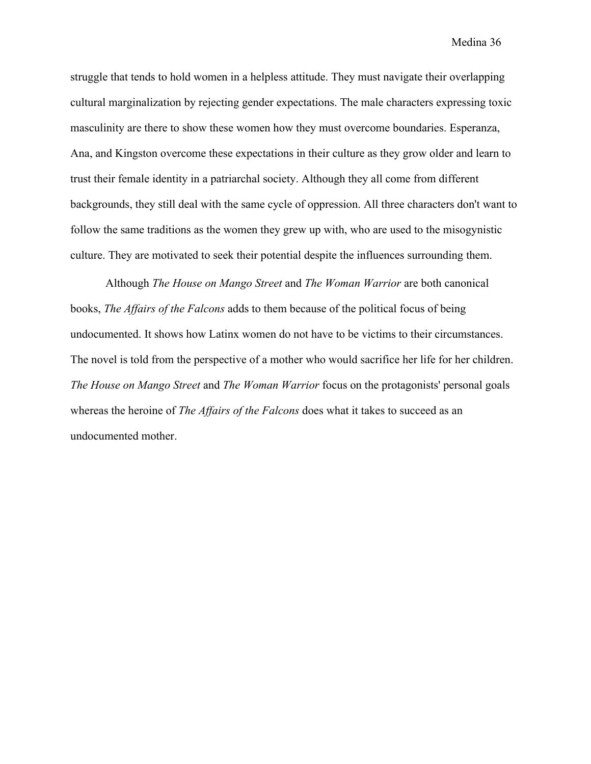struggle that tends to hold women in a helpless attitude. They must navigate their overlapping cultural marginalization by rejecting gender expectations. The male characters expressing toxic masculinity are there to show these women how they must overcome boundaries. Esperanza, Ana, and Kingston overcome these expectations in their culture as they grow older and learn to trust their female identity in a patriarchal society. Although they all come from different backgrounds, they still deal with the same cycle of oppression. All three characters don't want to follow the same traditions as the women they grew up with, who are used to the misogynistic culture. They are motivated to seek their potential despite the influences surrounding them.

Although *The House on Mango Street* and *The Woman Warrior* are both canonical books, *The Affairs of the Falcons* adds to them because of the political focus of being undocumented. It shows how Latinx women do not have to be victims to their circumstances. The novel is told from the perspective of a mother who would sacrifice her life for her children. *The House on Mango Street* and *The Woman Warrior* focus on the protagonists' personal goals whereas the heroine of *The Affairs of the Falcons* does what it takes to succeed as an undocumented mother.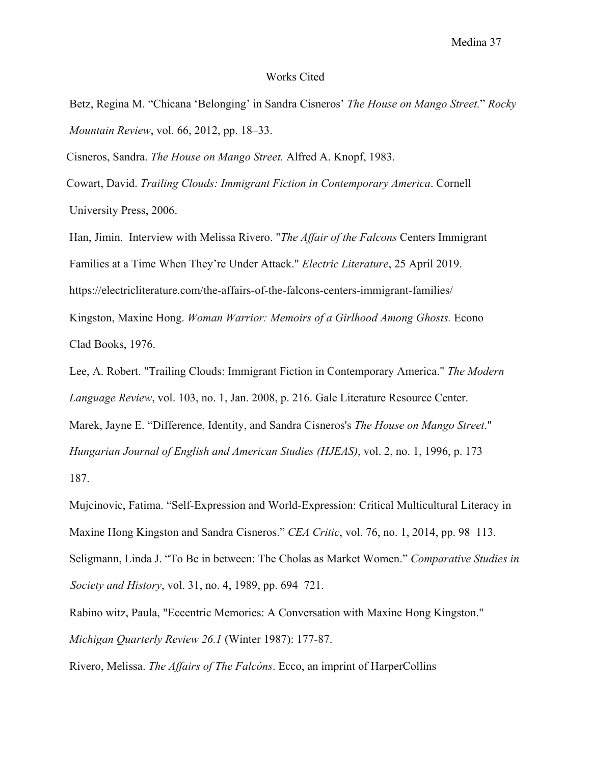#### Works Cited

Betz, Regina M. "Chicana 'Belonging' in Sandra Cisneros' *The House on Mango Street.*" *Rocky Mountain Review*, vol. 66, 2012, pp. 18–33.

Cisneros, Sandra. *The House on Mango Street.* Alfred A. Knopf, 1983.

 Cowart, David. *Trailing Clouds: Immigrant Fiction in Contemporary America*. Cornell University Press, 2006.

Han, Jimin. Interview with Melissa Rivero. "*The Affair of the Falcons* Centers Immigrant Families at a Time When They're Under Attack." *Electric Literature*, 25 April 2019. https://electricliterature.com/the-affairs-of-the-falcons-centers-immigrant-families/ Kingston, Maxine Hong. *Woman Warrior: Memoirs of a Girlhood Among Ghosts.* Econo Clad Books, 1976.

Lee, A. Robert. "Trailing Clouds: Immigrant Fiction in Contemporary America." *The Modern Language Review*, vol. 103, no. 1, Jan. 2008, p. 216. Gale Literature Resource Center. Marek, Jayne E. "Difference, Identity, and Sandra Cisneros's *The House on Mango Street*." *Hungarian Journal of English and American Studies (HJEAS)*, vol. 2, no. 1, 1996, p. 173– 187.

Mujcinovic, Fatima. "Self-Expression and World-Expression: Critical Multicultural Literacy in Maxine Hong Kingston and Sandra Cisneros." *CEA Critic*, vol. 76, no. 1, 2014, pp. 98–113. Seligmann, Linda J. "To Be in between: The Cholas as Market Women." *Comparative Studies in Society and History*, vol. 31, no. 4, 1989, pp. 694–721.

Rabino witz, Paula, "Eccentric Memories: A Conversation with Maxine Hong Kingston." *Michigan Quarterly Review 26.1* (Winter 1987): 177-87.

Rivero, Melissa. *The Affairs of The Falcóns*. Ecco, an imprint of HarperCollins